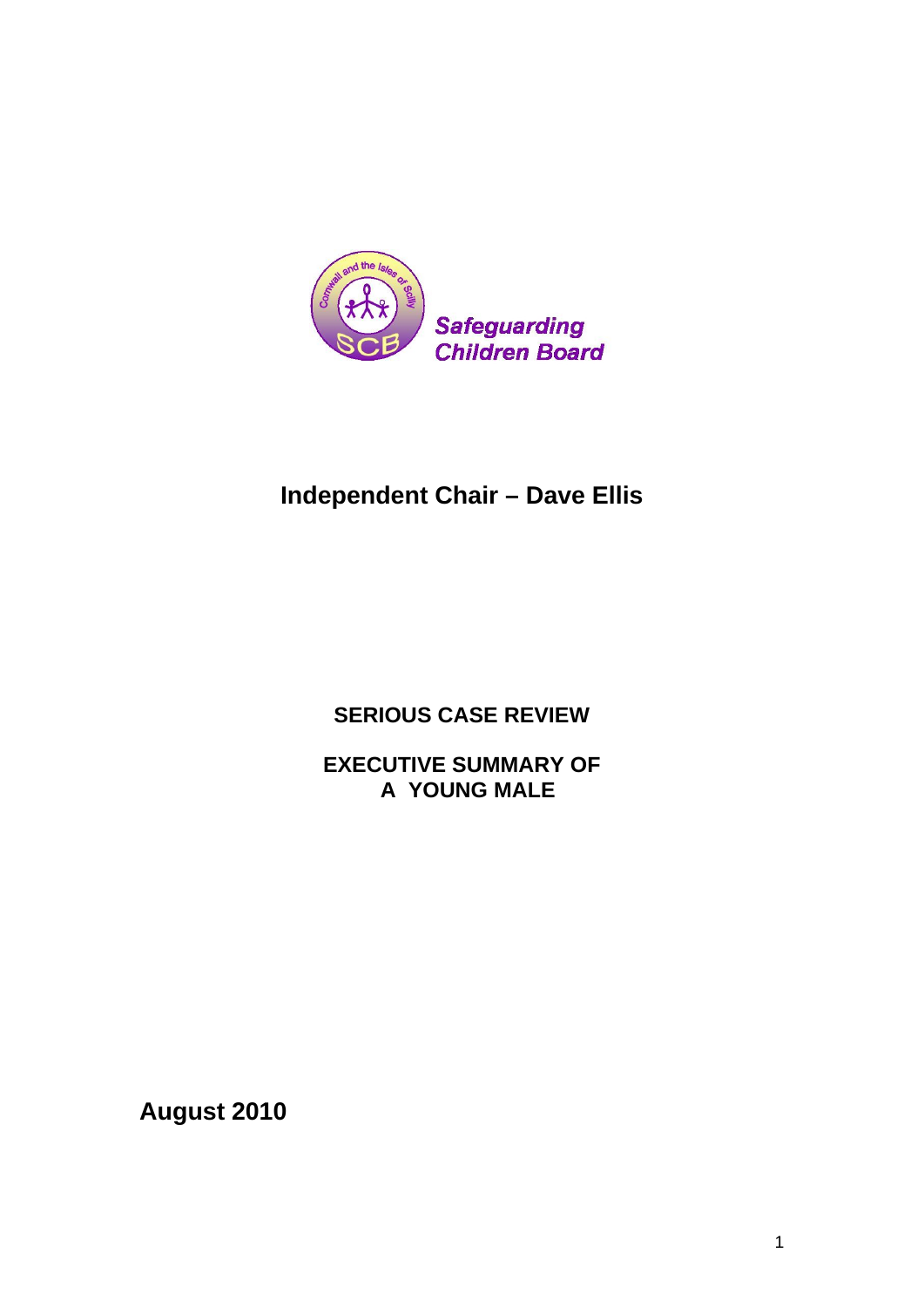

# **Independent Chair – Dave Ellis**

**SERIOUS CASE REVIEW** 

**EXECUTIVE SUMMARY OF A YOUNG MALE** 

**August 2010**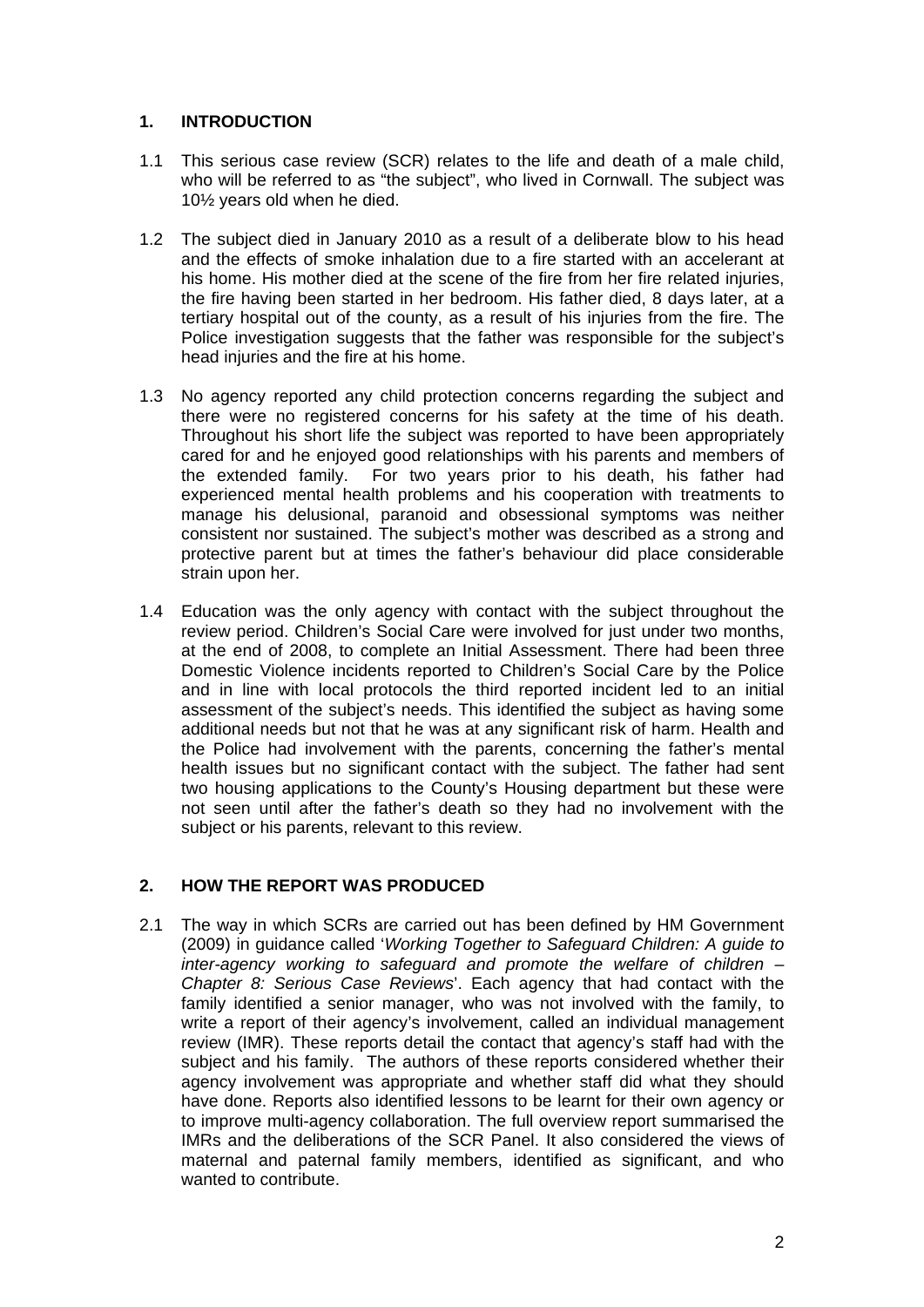### **1. INTRODUCTION**

- 1.1 This serious case review (SCR) relates to the life and death of a male child, who will be referred to as "the subject", who lived in Cornwall. The subject was 10½ years old when he died.
- 1.2 The subject died in January 2010 as a result of a deliberate blow to his head and the effects of smoke inhalation due to a fire started with an accelerant at his home. His mother died at the scene of the fire from her fire related injuries, the fire having been started in her bedroom. His father died, 8 days later, at a tertiary hospital out of the county, as a result of his injuries from the fire. The Police investigation suggests that the father was responsible for the subject's head injuries and the fire at his home.
- 1.3 No agency reported any child protection concerns regarding the subject and there were no registered concerns for his safety at the time of his death. Throughout his short life the subject was reported to have been appropriately cared for and he enjoyed good relationships with his parents and members of the extended family. For two years prior to his death, his father had experienced mental health problems and his cooperation with treatments to manage his delusional, paranoid and obsessional symptoms was neither consistent nor sustained. The subject's mother was described as a strong and protective parent but at times the father's behaviour did place considerable strain upon her.
- 1.4 Education was the only agency with contact with the subject throughout the review period. Children's Social Care were involved for just under two months, at the end of 2008, to complete an Initial Assessment. There had been three Domestic Violence incidents reported to Children's Social Care by the Police and in line with local protocols the third reported incident led to an initial assessment of the subject's needs. This identified the subject as having some additional needs but not that he was at any significant risk of harm. Health and the Police had involvement with the parents, concerning the father's mental health issues but no significant contact with the subject. The father had sent two housing applications to the County's Housing department but these were not seen until after the father's death so they had no involvement with the subject or his parents, relevant to this review.

## **2. HOW THE REPORT WAS PRODUCED**

2.1 The way in which SCRs are carried out has been defined by HM Government (2009) in guidance called '*Working Together to Safeguard Children: A guide to inter-agency working to safeguard and promote the welfare of children – Chapter 8: Serious Case Reviews*'. Each agency that had contact with the family identified a senior manager, who was not involved with the family, to write a report of their agency's involvement, called an individual management review (IMR). These reports detail the contact that agency's staff had with the subject and his family. The authors of these reports considered whether their agency involvement was appropriate and whether staff did what they should have done. Reports also identified lessons to be learnt for their own agency or to improve multi-agency collaboration. The full overview report summarised the IMRs and the deliberations of the SCR Panel. It also considered the views of maternal and paternal family members, identified as significant, and who wanted to contribute.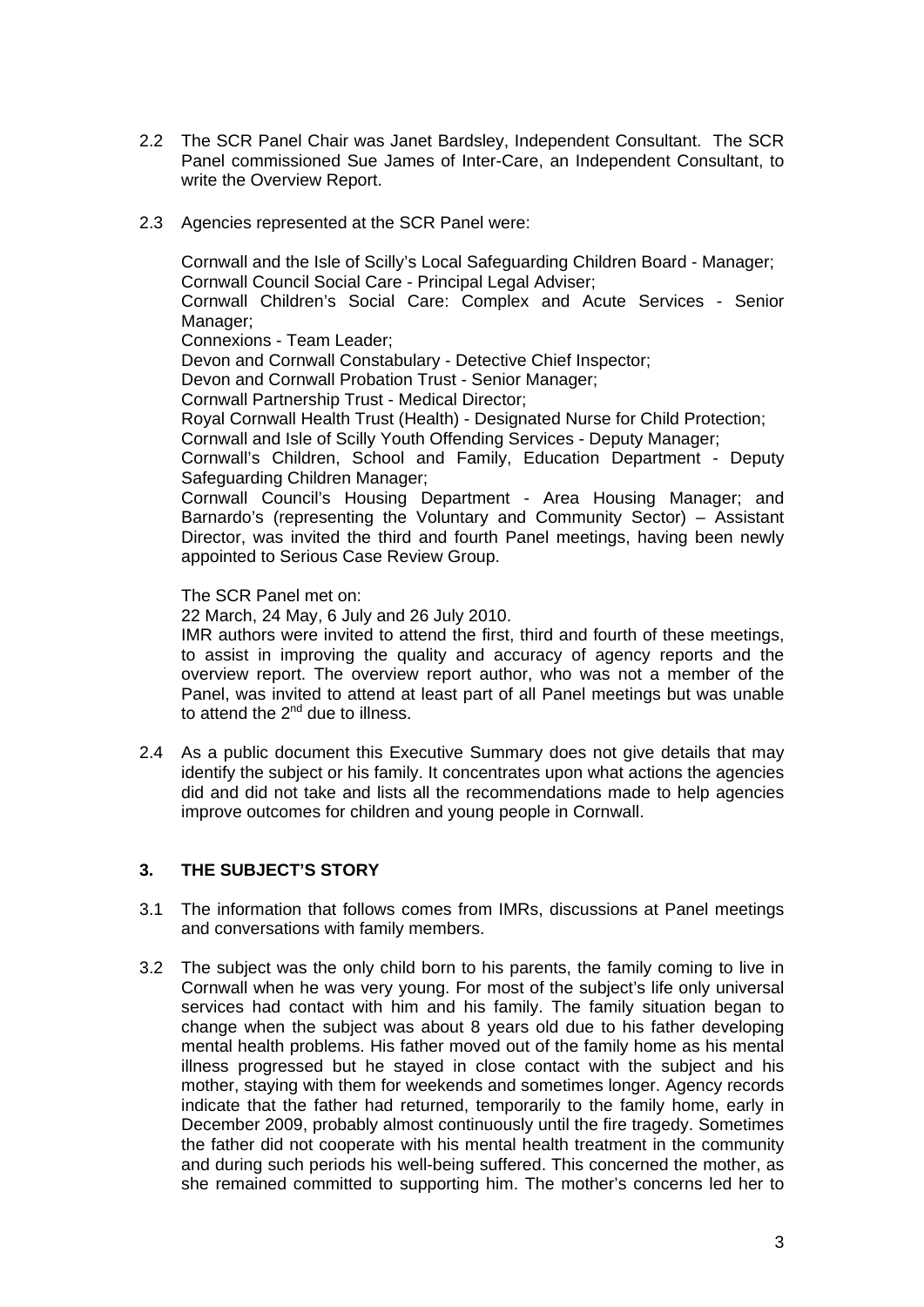- 2.2 The SCR Panel Chair was Janet Bardsley, Independent Consultant. The SCR Panel commissioned Sue James of Inter-Care, an Independent Consultant, to write the Overview Report.
- 2.3 Agencies represented at the SCR Panel were:

Cornwall and the Isle of Scilly's Local Safeguarding Children Board - Manager; Cornwall Council Social Care - Principal Legal Adviser;

Cornwall Children's Social Care: Complex and Acute Services - Senior Manager;

Connexions - Team Leader;

Devon and Cornwall Constabulary - Detective Chief Inspector;

Devon and Cornwall Probation Trust - Senior Manager;

Cornwall Partnership Trust - Medical Director;

Royal Cornwall Health Trust (Health) - Designated Nurse for Child Protection;

Cornwall and Isle of Scilly Youth Offending Services - Deputy Manager;

Cornwall's Children, School and Family, Education Department - Deputy Safeguarding Children Manager;

Cornwall Council's Housing Department - Area Housing Manager; and Barnardo's (representing the Voluntary and Community Sector) – Assistant Director, was invited the third and fourth Panel meetings, having been newly appointed to Serious Case Review Group.

The SCR Panel met on:

22 March, 24 May, 6 July and 26 July 2010.

IMR authors were invited to attend the first, third and fourth of these meetings, to assist in improving the quality and accuracy of agency reports and the overview report. The overview report author, who was not a member of the Panel, was invited to attend at least part of all Panel meetings but was unable to attend the  $2<sup>nd</sup>$  due to illness.

2.4 As a public document this Executive Summary does not give details that may identify the subject or his family. It concentrates upon what actions the agencies did and did not take and lists all the recommendations made to help agencies improve outcomes for children and young people in Cornwall.

#### **3. THE SUBJECT'S STORY**

- 3.1 The information that follows comes from IMRs, discussions at Panel meetings and conversations with family members.
- 3.2 The subject was the only child born to his parents, the family coming to live in Cornwall when he was very young. For most of the subject's life only universal services had contact with him and his family. The family situation began to change when the subject was about 8 years old due to his father developing mental health problems. His father moved out of the family home as his mental illness progressed but he stayed in close contact with the subject and his mother, staying with them for weekends and sometimes longer. Agency records indicate that the father had returned, temporarily to the family home, early in December 2009, probably almost continuously until the fire tragedy. Sometimes the father did not cooperate with his mental health treatment in the community and during such periods his well-being suffered. This concerned the mother, as she remained committed to supporting him. The mother's concerns led her to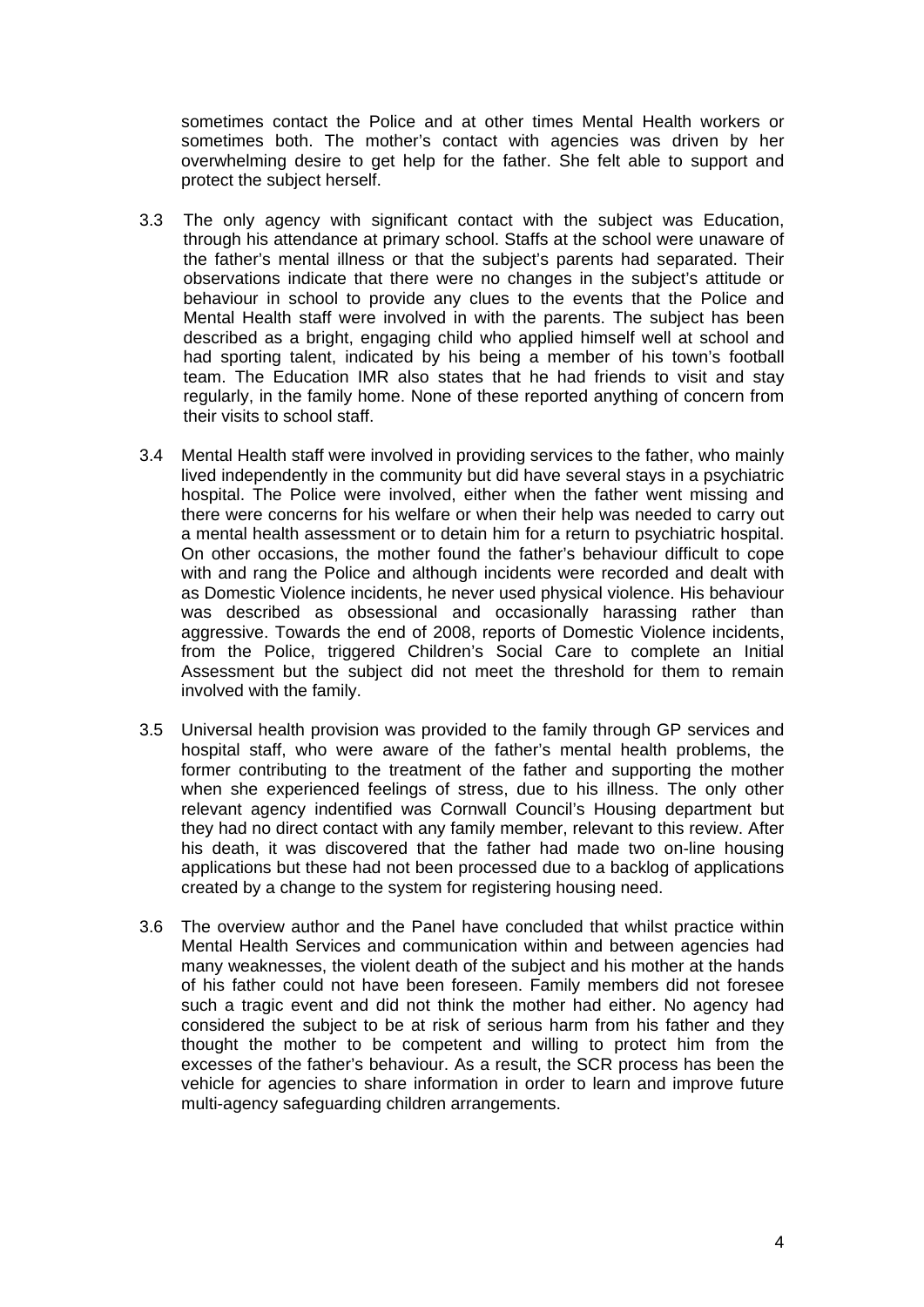sometimes contact the Police and at other times Mental Health workers or sometimes both. The mother's contact with agencies was driven by her overwhelming desire to get help for the father. She felt able to support and protect the subject herself.

- 3.3 The only agency with significant contact with the subject was Education, through his attendance at primary school. Staffs at the school were unaware of the father's mental illness or that the subject's parents had separated. Their observations indicate that there were no changes in the subject's attitude or behaviour in school to provide any clues to the events that the Police and Mental Health staff were involved in with the parents. The subject has been described as a bright, engaging child who applied himself well at school and had sporting talent, indicated by his being a member of his town's football team. The Education IMR also states that he had friends to visit and stay regularly, in the family home. None of these reported anything of concern from their visits to school staff.
- 3.4 Mental Health staff were involved in providing services to the father, who mainly lived independently in the community but did have several stays in a psychiatric hospital. The Police were involved, either when the father went missing and there were concerns for his welfare or when their help was needed to carry out a mental health assessment or to detain him for a return to psychiatric hospital. On other occasions, the mother found the father's behaviour difficult to cope with and rang the Police and although incidents were recorded and dealt with as Domestic Violence incidents, he never used physical violence. His behaviour was described as obsessional and occasionally harassing rather than aggressive. Towards the end of 2008, reports of Domestic Violence incidents, from the Police, triggered Children's Social Care to complete an Initial Assessment but the subject did not meet the threshold for them to remain involved with the family.
- 3.5 Universal health provision was provided to the family through GP services and hospital staff, who were aware of the father's mental health problems, the former contributing to the treatment of the father and supporting the mother when she experienced feelings of stress, due to his illness. The only other relevant agency indentified was Cornwall Council's Housing department but they had no direct contact with any family member, relevant to this review. After his death, it was discovered that the father had made two on-line housing applications but these had not been processed due to a backlog of applications created by a change to the system for registering housing need.
- 3.6 The overview author and the Panel have concluded that whilst practice within Mental Health Services and communication within and between agencies had many weaknesses, the violent death of the subject and his mother at the hands of his father could not have been foreseen. Family members did not foresee such a tragic event and did not think the mother had either. No agency had considered the subject to be at risk of serious harm from his father and they thought the mother to be competent and willing to protect him from the excesses of the father's behaviour. As a result, the SCR process has been the vehicle for agencies to share information in order to learn and improve future multi-agency safeguarding children arrangements.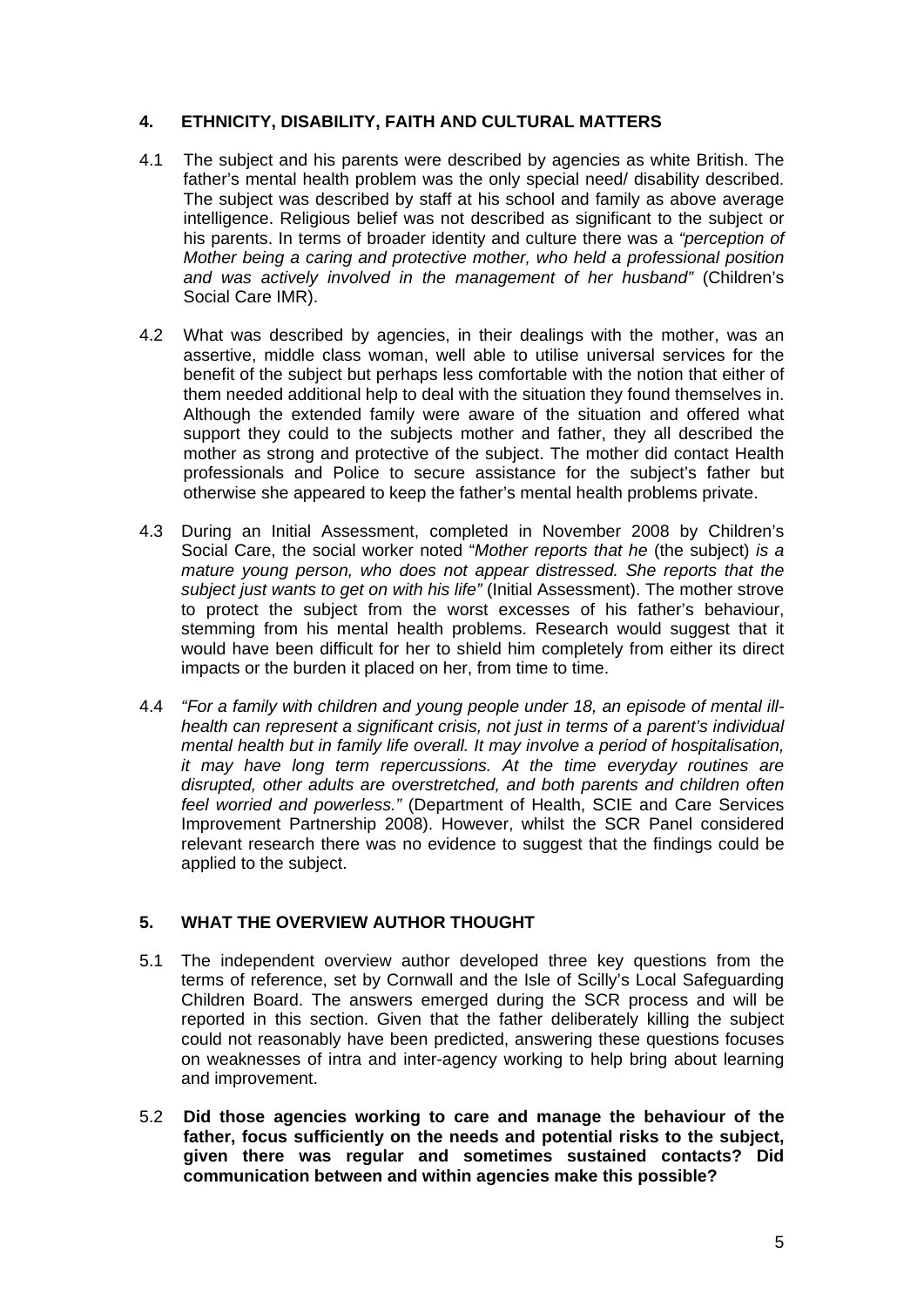#### **4. ETHNICITY, DISABILITY, FAITH AND CULTURAL MATTERS**

- 4.1 The subject and his parents were described by agencies as white British. The father's mental health problem was the only special need/ disability described. The subject was described by staff at his school and family as above average intelligence. Religious belief was not described as significant to the subject or his parents. In terms of broader identity and culture there was a *"perception of Mother being a caring and protective mother, who held a professional position and was actively involved in the management of her husband"* (Children's Social Care IMR).
- 4.2 What was described by agencies, in their dealings with the mother, was an assertive, middle class woman, well able to utilise universal services for the benefit of the subject but perhaps less comfortable with the notion that either of them needed additional help to deal with the situation they found themselves in. Although the extended family were aware of the situation and offered what support they could to the subjects mother and father, they all described the mother as strong and protective of the subject. The mother did contact Health professionals and Police to secure assistance for the subject's father but otherwise she appeared to keep the father's mental health problems private.
- 4.3 During an Initial Assessment, completed in November 2008 by Children's Social Care, the social worker noted "*Mother reports that he* (the subject) *is a mature young person, who does not appear distressed. She reports that the subject just wants to get on with his life"* (Initial Assessment). The mother strove to protect the subject from the worst excesses of his father's behaviour, stemming from his mental health problems. Research would suggest that it would have been difficult for her to shield him completely from either its direct impacts or the burden it placed on her, from time to time.
- 4.4 *"For a family with children and young people under 18, an episode of mental illhealth can represent a significant crisis, not just in terms of a parent's individual mental health but in family life overall. It may involve a period of hospitalisation, it may have long term repercussions. At the time everyday routines are disrupted, other adults are overstretched, and both parents and children often feel worried and powerless."* (Department of Health, SCIE and Care Services Improvement Partnership 2008). However, whilst the SCR Panel considered relevant research there was no evidence to suggest that the findings could be applied to the subject.

#### **5. WHAT THE OVERVIEW AUTHOR THOUGHT**

- 5.1 The independent overview author developed three key questions from the terms of reference, set by Cornwall and the Isle of Scilly's Local Safeguarding Children Board. The answers emerged during the SCR process and will be reported in this section. Given that the father deliberately killing the subject could not reasonably have been predicted, answering these questions focuses on weaknesses of intra and inter-agency working to help bring about learning and improvement.
- 5.2 **Did those agencies working to care and manage the behaviour of the father, focus sufficiently on the needs and potential risks to the subject, given there was regular and sometimes sustained contacts? Did communication between and within agencies make this possible?**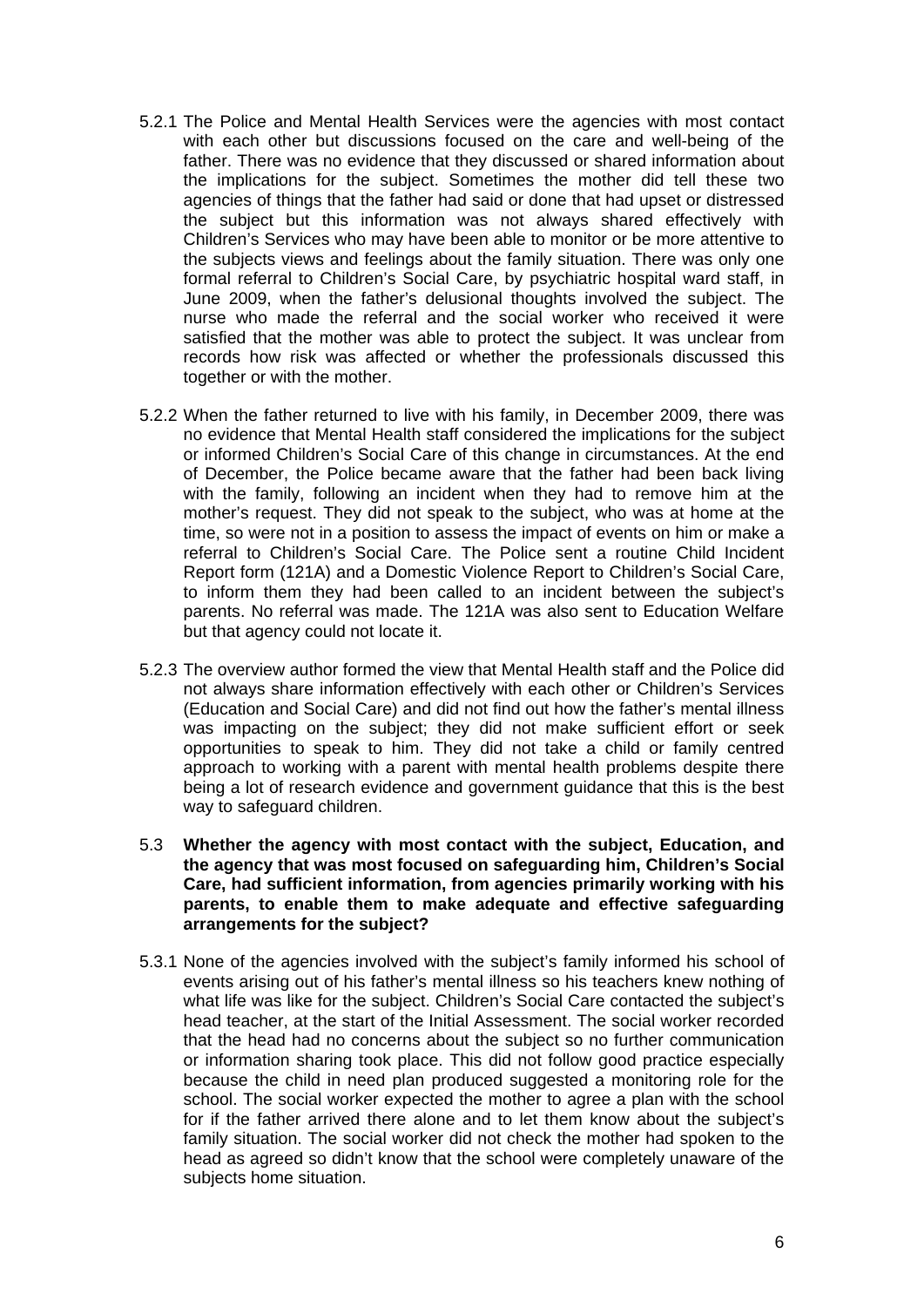- 5.2.1 The Police and Mental Health Services were the agencies with most contact with each other but discussions focused on the care and well-being of the father. There was no evidence that they discussed or shared information about the implications for the subject. Sometimes the mother did tell these two agencies of things that the father had said or done that had upset or distressed the subject but this information was not always shared effectively with Children's Services who may have been able to monitor or be more attentive to the subjects views and feelings about the family situation. There was only one formal referral to Children's Social Care, by psychiatric hospital ward staff, in June 2009, when the father's delusional thoughts involved the subject. The nurse who made the referral and the social worker who received it were satisfied that the mother was able to protect the subject. It was unclear from records how risk was affected or whether the professionals discussed this together or with the mother.
- 5.2.2 When the father returned to live with his family, in December 2009, there was no evidence that Mental Health staff considered the implications for the subject or informed Children's Social Care of this change in circumstances. At the end of December, the Police became aware that the father had been back living with the family, following an incident when they had to remove him at the mother's request. They did not speak to the subject, who was at home at the time, so were not in a position to assess the impact of events on him or make a referral to Children's Social Care. The Police sent a routine Child Incident Report form (121A) and a Domestic Violence Report to Children's Social Care, to inform them they had been called to an incident between the subject's parents. No referral was made. The 121A was also sent to Education Welfare but that agency could not locate it.
- 5.2.3 The overview author formed the view that Mental Health staff and the Police did not always share information effectively with each other or Children's Services (Education and Social Care) and did not find out how the father's mental illness was impacting on the subject; they did not make sufficient effort or seek opportunities to speak to him. They did not take a child or family centred approach to working with a parent with mental health problems despite there being a lot of research evidence and government guidance that this is the best way to safeguard children.
- 5.3 **Whether the agency with most contact with the subject, Education, and the agency that was most focused on safeguarding him, Children's Social Care, had sufficient information, from agencies primarily working with his parents, to enable them to make adequate and effective safeguarding arrangements for the subject?**
- 5.3.1 None of the agencies involved with the subject's family informed his school of events arising out of his father's mental illness so his teachers knew nothing of what life was like for the subject. Children's Social Care contacted the subject's head teacher, at the start of the Initial Assessment. The social worker recorded that the head had no concerns about the subject so no further communication or information sharing took place. This did not follow good practice especially because the child in need plan produced suggested a monitoring role for the school. The social worker expected the mother to agree a plan with the school for if the father arrived there alone and to let them know about the subject's family situation. The social worker did not check the mother had spoken to the head as agreed so didn't know that the school were completely unaware of the subjects home situation.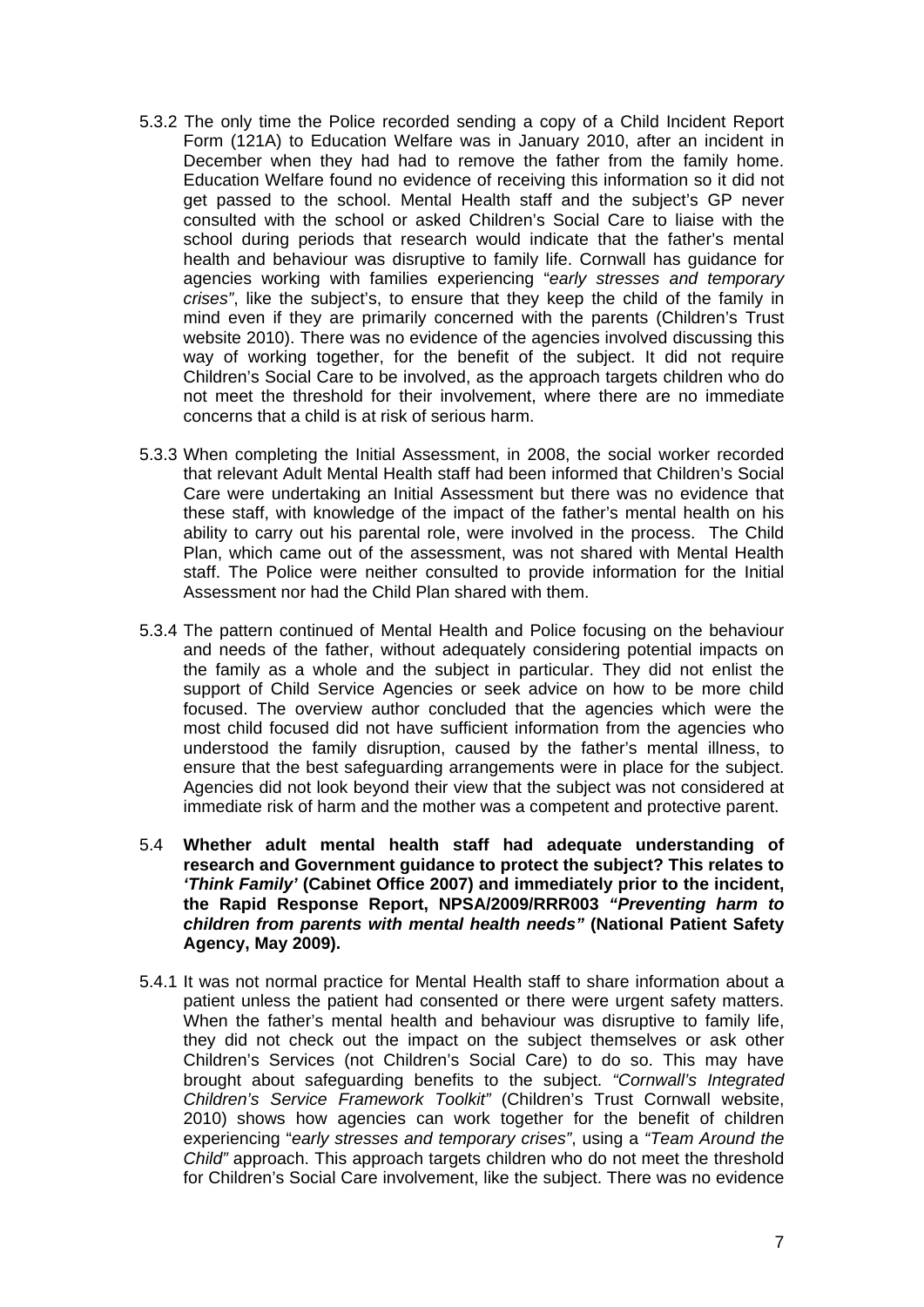- 5.3.2 The only time the Police recorded sending a copy of a Child Incident Report Form (121A) to Education Welfare was in January 2010, after an incident in December when they had had to remove the father from the family home. Education Welfare found no evidence of receiving this information so it did not get passed to the school. Mental Health staff and the subject's GP never consulted with the school or asked Children's Social Care to liaise with the school during periods that research would indicate that the father's mental health and behaviour was disruptive to family life. Cornwall has guidance for agencies working with families experiencing "*early stresses and temporary crises"*, like the subject's, to ensure that they keep the child of the family in mind even if they are primarily concerned with the parents (Children's Trust website 2010). There was no evidence of the agencies involved discussing this way of working together, for the benefit of the subject. It did not require Children's Social Care to be involved, as the approach targets children who do not meet the threshold for their involvement, where there are no immediate concerns that a child is at risk of serious harm.
- 5.3.3 When completing the Initial Assessment, in 2008, the social worker recorded that relevant Adult Mental Health staff had been informed that Children's Social Care were undertaking an Initial Assessment but there was no evidence that these staff, with knowledge of the impact of the father's mental health on his ability to carry out his parental role, were involved in the process. The Child Plan, which came out of the assessment, was not shared with Mental Health staff. The Police were neither consulted to provide information for the Initial Assessment nor had the Child Plan shared with them.
- 5.3.4 The pattern continued of Mental Health and Police focusing on the behaviour and needs of the father, without adequately considering potential impacts on the family as a whole and the subject in particular. They did not enlist the support of Child Service Agencies or seek advice on how to be more child focused. The overview author concluded that the agencies which were the most child focused did not have sufficient information from the agencies who understood the family disruption, caused by the father's mental illness, to ensure that the best safeguarding arrangements were in place for the subject. Agencies did not look beyond their view that the subject was not considered at immediate risk of harm and the mother was a competent and protective parent.
- 5.4 **Whether adult mental health staff had adequate understanding of research and Government guidance to protect the subject? This relates to**  *'Think Family'* **(Cabinet Office 2007) and immediately prior to the incident, the Rapid Response Report, NPSA/2009/RRR003** *"Preventing harm to children from parents with mental health needs"* **(National Patient Safety Agency, May 2009).**
- 5.4.1 It was not normal practice for Mental Health staff to share information about a patient unless the patient had consented or there were urgent safety matters. When the father's mental health and behaviour was disruptive to family life, they did not check out the impact on the subject themselves or ask other Children's Services (not Children's Social Care) to do so. This may have brought about safeguarding benefits to the subject. *"Cornwall's Integrated Children's Service Framework Toolkit"* (Children's Trust Cornwall website, 2010) shows how agencies can work together for the benefit of children experiencing "*early stresses and temporary crises"*, using a *"Team Around the Child"* approach. This approach targets children who do not meet the threshold for Children's Social Care involvement, like the subject. There was no evidence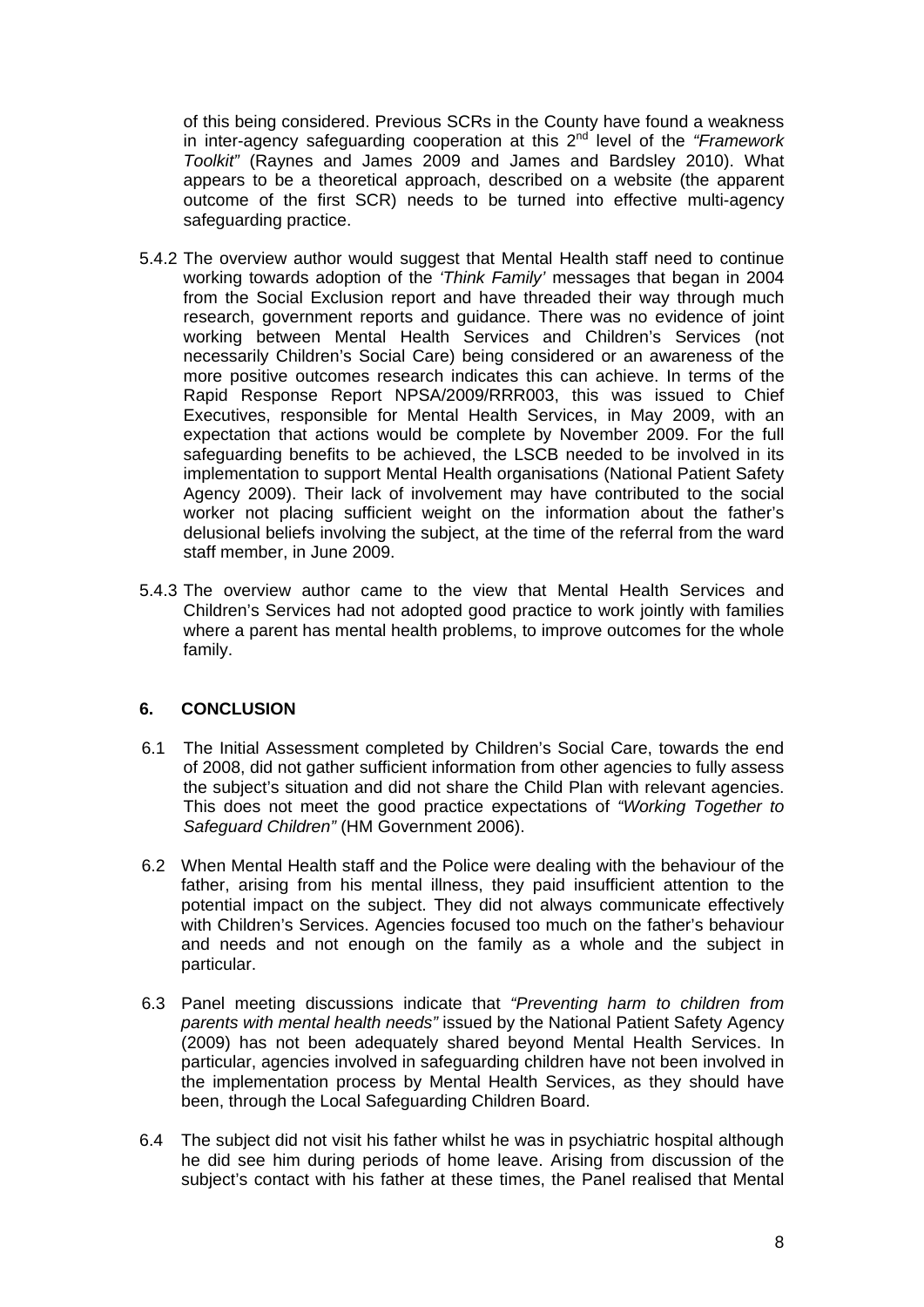of this being considered. Previous SCRs in the County have found a weakness in inter-agency safeguarding cooperation at this 2<sup>nd</sup> level of the "Framework" *Toolkit"* (Raynes and James 2009 and James and Bardsley 2010). What appears to be a theoretical approach, described on a website (the apparent outcome of the first SCR) needs to be turned into effective multi-agency safeguarding practice.

- 5.4.2 The overview author would suggest that Mental Health staff need to continue working towards adoption of the *'Think Family'* messages that began in 2004 from the Social Exclusion report and have threaded their way through much research, government reports and guidance. There was no evidence of joint working between Mental Health Services and Children's Services (not necessarily Children's Social Care) being considered or an awareness of the more positive outcomes research indicates this can achieve. In terms of the Rapid Response Report NPSA/2009/RRR003, this was issued to Chief Executives, responsible for Mental Health Services, in May 2009, with an expectation that actions would be complete by November 2009. For the full safeguarding benefits to be achieved, the LSCB needed to be involved in its implementation to support Mental Health organisations (National Patient Safety Agency 2009). Their lack of involvement may have contributed to the social worker not placing sufficient weight on the information about the father's delusional beliefs involving the subject, at the time of the referral from the ward staff member, in June 2009.
- 5.4.3 The overview author came to the view that Mental Health Services and Children's Services had not adopted good practice to work jointly with families where a parent has mental health problems, to improve outcomes for the whole family.

## **6. CONCLUSION**

- 6.1 The Initial Assessment completed by Children's Social Care, towards the end of 2008, did not gather sufficient information from other agencies to fully assess the subject's situation and did not share the Child Plan with relevant agencies. This does not meet the good practice expectations of *"Working Together to Safeguard Children"* (HM Government 2006).
- 6.2 When Mental Health staff and the Police were dealing with the behaviour of the father, arising from his mental illness, they paid insufficient attention to the potential impact on the subject. They did not always communicate effectively with Children's Services. Agencies focused too much on the father's behaviour and needs and not enough on the family as a whole and the subject in particular.
- 6.3 Panel meeting discussions indicate that *"Preventing harm to children from parents with mental health needs"* issued by the National Patient Safety Agency (2009) has not been adequately shared beyond Mental Health Services. In particular, agencies involved in safeguarding children have not been involved in the implementation process by Mental Health Services, as they should have been, through the Local Safeguarding Children Board.
- 6.4 The subject did not visit his father whilst he was in psychiatric hospital although he did see him during periods of home leave. Arising from discussion of the subject's contact with his father at these times, the Panel realised that Mental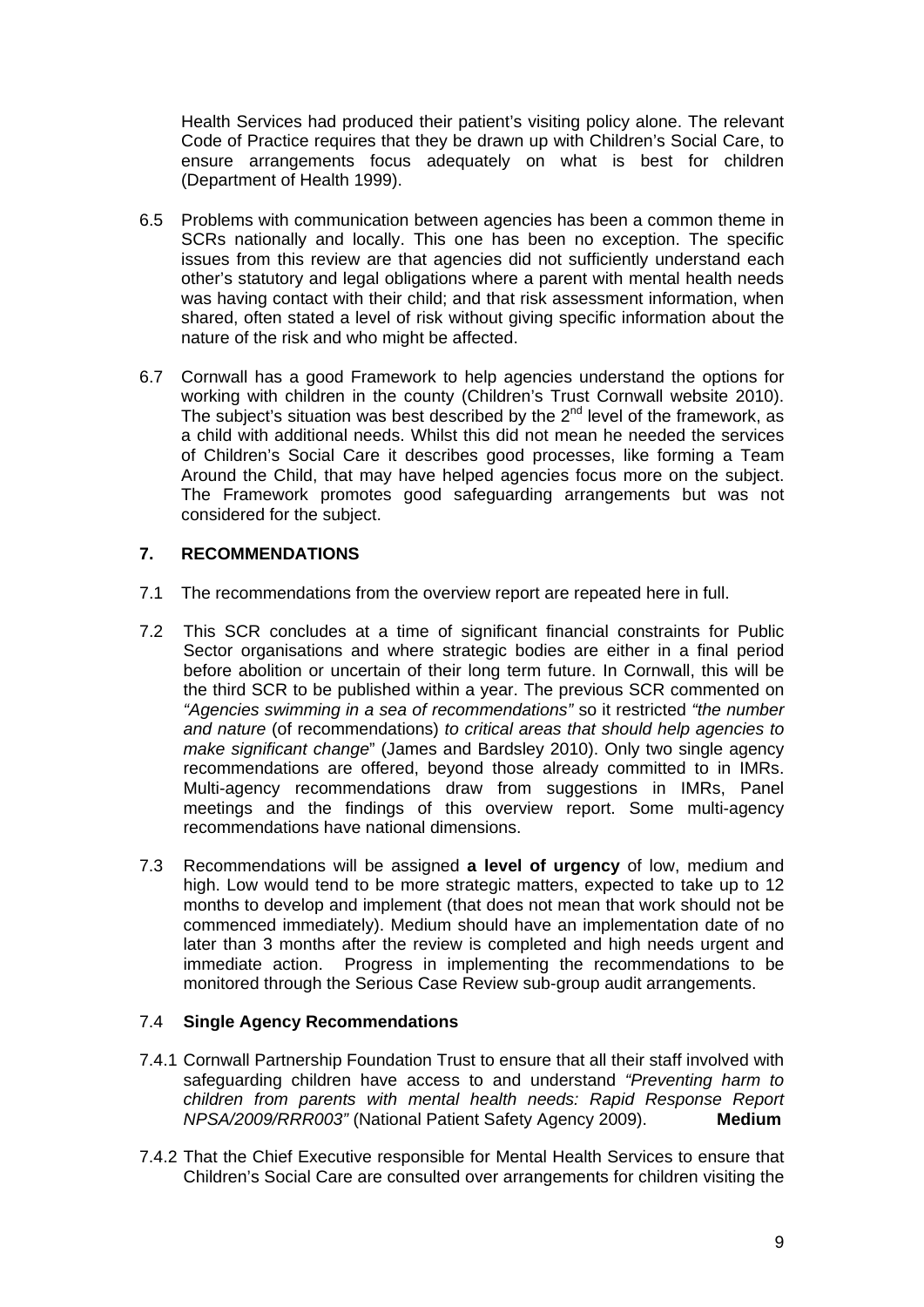Health Services had produced their patient's visiting policy alone. The relevant Code of Practice requires that they be drawn up with Children's Social Care, to ensure arrangements focus adequately on what is best for children (Department of Health 1999).

- 6.5 Problems with communication between agencies has been a common theme in SCRs nationally and locally. This one has been no exception. The specific issues from this review are that agencies did not sufficiently understand each other's statutory and legal obligations where a parent with mental health needs was having contact with their child; and that risk assessment information, when shared, often stated a level of risk without giving specific information about the nature of the risk and who might be affected.
- 6.7 Cornwall has a good Framework to help agencies understand the options for working with children in the county (Children's Trust Cornwall website 2010). The subject's situation was best described by the  $2<sup>nd</sup>$  level of the framework, as a child with additional needs. Whilst this did not mean he needed the services of Children's Social Care it describes good processes, like forming a Team Around the Child, that may have helped agencies focus more on the subject. The Framework promotes good safeguarding arrangements but was not considered for the subject.

## **7. RECOMMENDATIONS**

- 7.1 The recommendations from the overview report are repeated here in full.
- 7.2 This SCR concludes at a time of significant financial constraints for Public Sector organisations and where strategic bodies are either in a final period before abolition or uncertain of their long term future. In Cornwall, this will be the third SCR to be published within a year. The previous SCR commented on *"Agencies swimming in a sea of recommendations"* so it restricted *"the number and nature* (of recommendations) *to critical areas that should help agencies to make significant change*" (James and Bardsley 2010). Only two single agency recommendations are offered, beyond those already committed to in IMRs. Multi-agency recommendations draw from suggestions in IMRs, Panel meetings and the findings of this overview report. Some multi-agency recommendations have national dimensions.
- 7.3 Recommendations will be assigned **a level of urgency** of low, medium and high. Low would tend to be more strategic matters, expected to take up to 12 months to develop and implement (that does not mean that work should not be commenced immediately). Medium should have an implementation date of no later than 3 months after the review is completed and high needs urgent and immediate action. Progress in implementing the recommendations to be monitored through the Serious Case Review sub-group audit arrangements.

#### 7.4 **Single Agency Recommendations**

- 7.4.1 Cornwall Partnership Foundation Trust to ensure that all their staff involved with safeguarding children have access to and understand *"Preventing harm to children from parents with mental health needs: Rapid Response Report NPSA/2009/RRR003"* (National Patient Safety Agency 2009). **Medium**
- 7.4.2 That the Chief Executive responsible for Mental Health Services to ensure that Children's Social Care are consulted over arrangements for children visiting the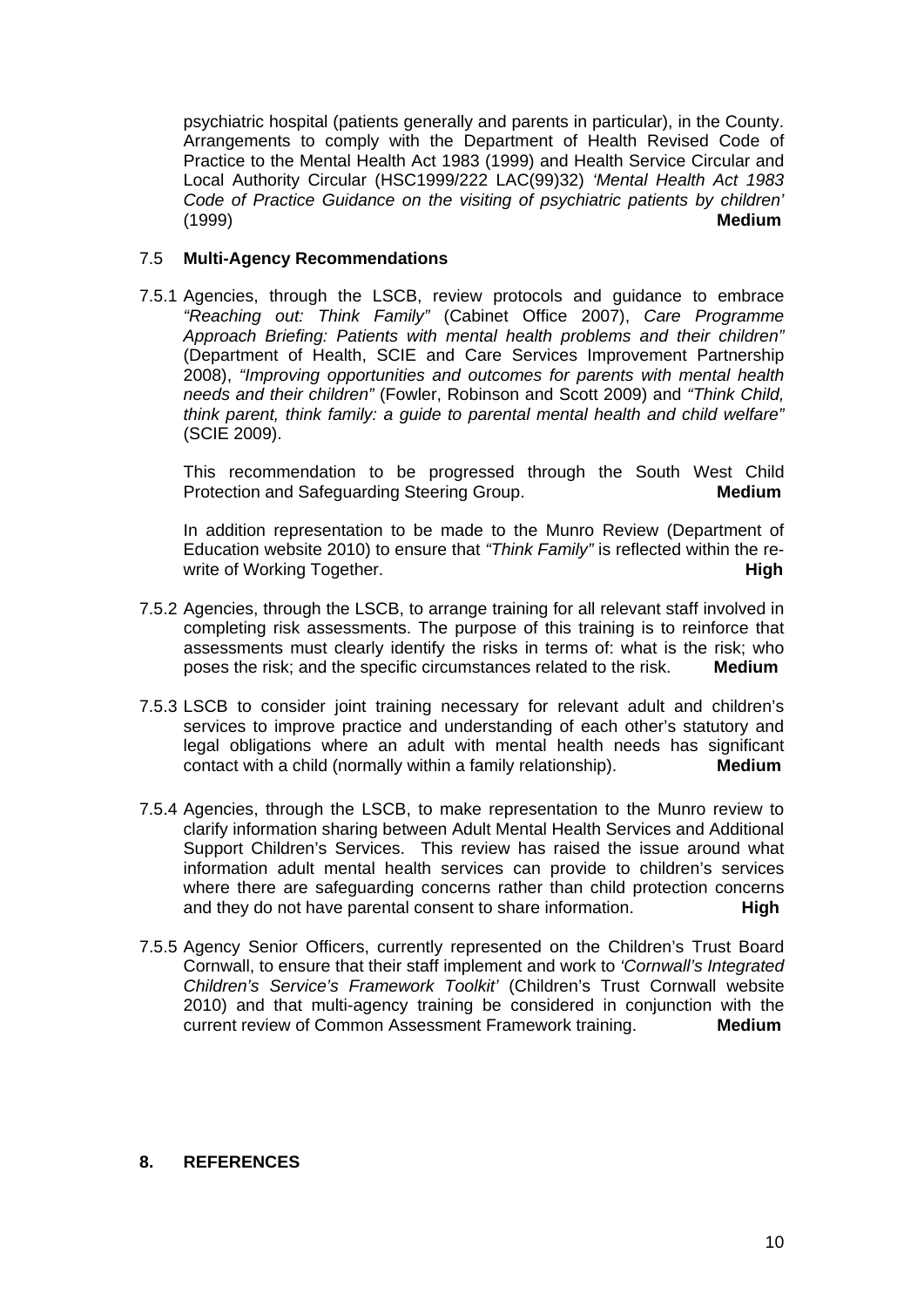psychiatric hospital (patients generally and parents in particular), in the County. Arrangements to comply with the Department of Health Revised Code of Practice to the Mental Health Act 1983 (1999) and Health Service Circular and Local Authority Circular (HSC1999/222 LAC(99)32) *'Mental Health Act 1983 Code of Practice Guidance on the visiting of psychiatric patients by children'*  (1999) **Medium**

#### 7.5 **Multi-Agency Recommendations**

7.5.1 Agencies, through the LSCB, review protocols and guidance to embrace *"Reaching out: Think Family"* (Cabinet Office 2007), *Care Programme Approach Briefing: Patients with mental health problems and their children"* (Department of Health, SCIE and Care Services Improvement Partnership 2008), *"Improving opportunities and outcomes for parents with mental health needs and their children"* (Fowler, Robinson and Scott 2009) and *"Think Child, think parent, think family: a guide to parental mental health and child welfare"* (SCIE 2009).

 This recommendation to be progressed through the South West Child Protection and Safeguarding Steering Group. **Medium**

 In addition representation to be made to the Munro Review (Department of Education website 2010) to ensure that *"Think Family"* is reflected within the rewrite of Working Together.

- 7.5.2 Agencies, through the LSCB, to arrange training for all relevant staff involved in completing risk assessments. The purpose of this training is to reinforce that assessments must clearly identify the risks in terms of: what is the risk; who poses the risk; and the specific circumstances related to the risk. **Medium**
- 7.5.3 LSCB to consider joint training necessary for relevant adult and children's services to improve practice and understanding of each other's statutory and legal obligations where an adult with mental health needs has significant contact with a child (normally within a family relationship). **Medium**
- 7.5.4 Agencies, through the LSCB, to make representation to the Munro review to clarify information sharing between Adult Mental Health Services and Additional Support Children's Services. This review has raised the issue around what information adult mental health services can provide to children's services where there are safeguarding concerns rather than child protection concerns and they do not have parental consent to share information. **High**
- 7.5.5 Agency Senior Officers, currently represented on the Children's Trust Board Cornwall, to ensure that their staff implement and work to *'Cornwall's Integrated Children's Service's Framework Toolkit'* (Children's Trust Cornwall website 2010) and that multi-agency training be considered in conjunction with the current review of Common Assessment Framework training. **Medium**

#### **8. REFERENCES**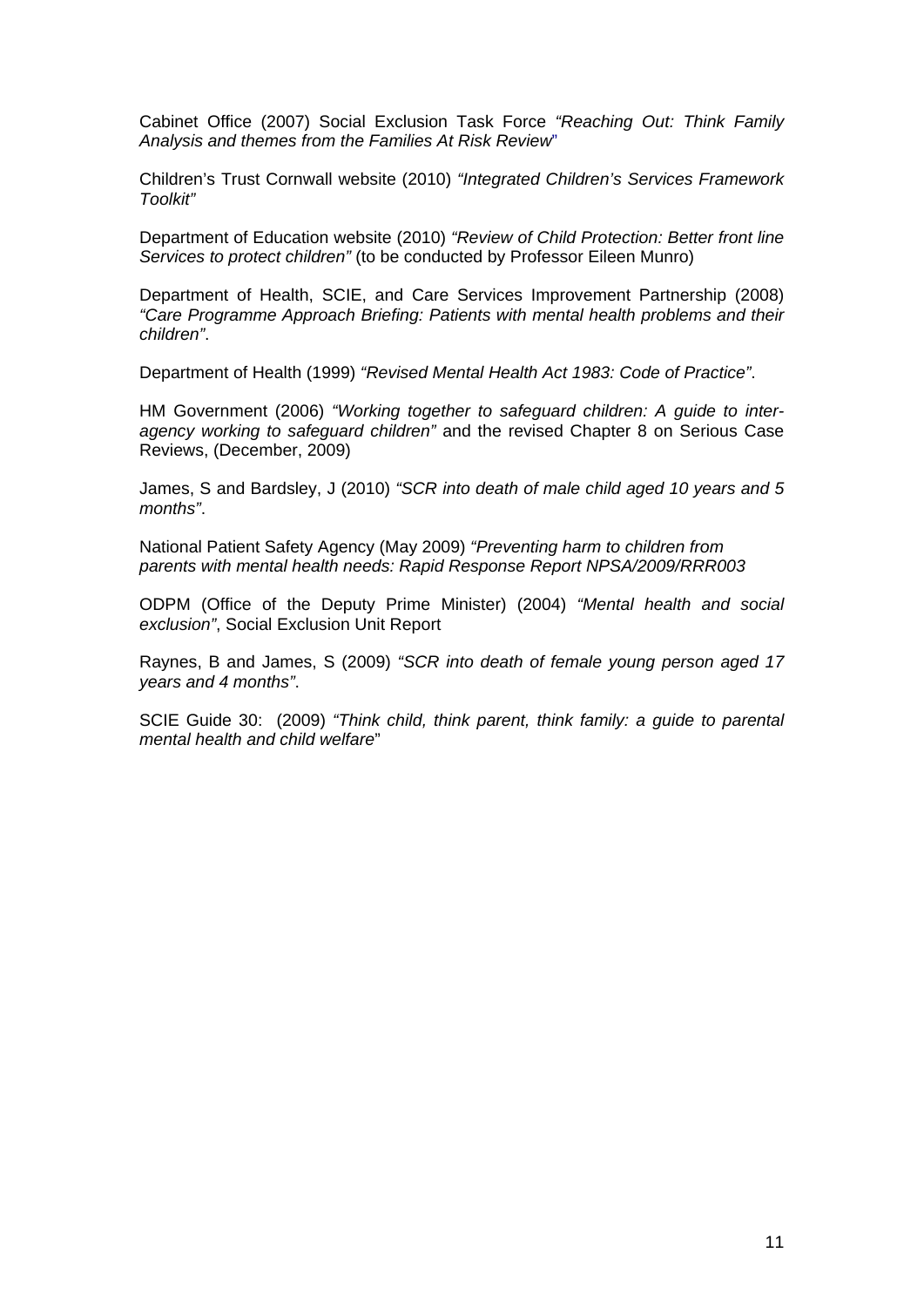Cabinet Office (2007) Social Exclusion Task Force *"Reaching Out: Think Family Analysis and themes from the Families At Risk Review*"

Children's Trust Cornwall website (2010) *"Integrated Children's Services Framework Toolkit"* 

Department of Education website (2010) *"Review of Child Protection: Better front line Services to protect children"* (to be conducted by Professor Eileen Munro)

Department of Health, SCIE, and Care Services Improvement Partnership (2008) *"Care Programme Approach Briefing: Patients with mental health problems and their children"*.

Department of Health (1999) *"Revised Mental Health Act 1983: Code of Practice"*.

HM Government (2006) *"Working together to safeguard children: A guide to interagency working to safeguard children"* and the revised Chapter 8 on Serious Case Reviews, (December, 2009)

James, S and Bardsley, J (2010) *"SCR into death of male child aged 10 years and 5 months"*.

National Patient Safety Agency (May 2009) *"Preventing harm to children from parents with mental health needs: Rapid Response Report NPSA/2009/RRR003* 

ODPM (Office of the Deputy Prime Minister) (2004) *"Mental health and social exclusion"*, Social Exclusion Unit Report

Raynes, B and James, S (2009) *"SCR into death of female young person aged 17 years and 4 months"*.

SCIE Guide 30: (2009) *"Think child, think parent, think family: a guide to parental mental health and child welfare*"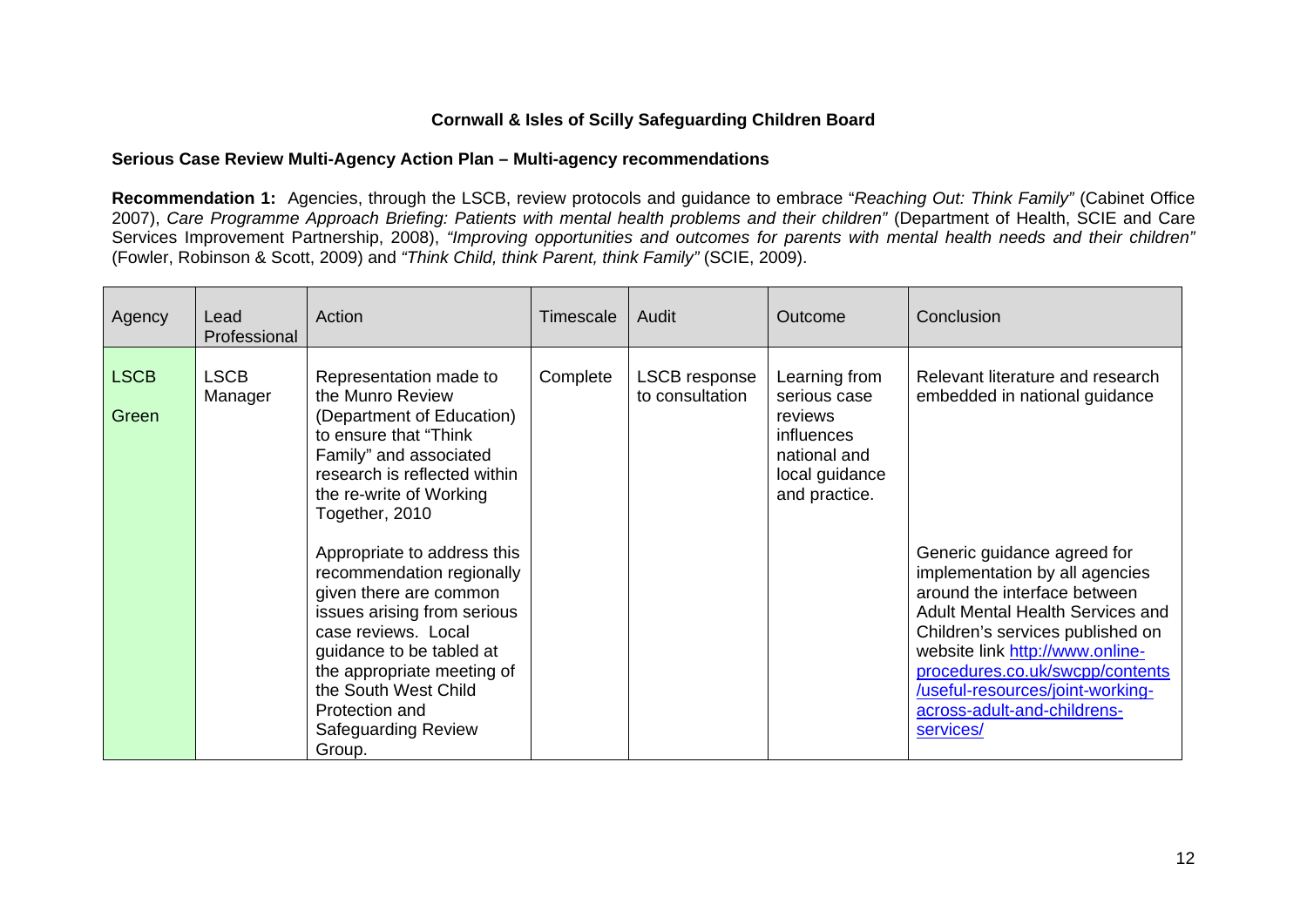## **Cornwall & Isles of Scilly Safeguarding Children Board**

#### **Serious Case Review Multi-Agency Action Plan – Multi-agency recommendations**

**Recommendation 1:** Agencies, through the LSCB, review protocols and guidance to embrace "*Reaching Out: Think Family"* (Cabinet Office 2007), *Care Programme Approach Briefing: Patients with mental health problems and their children"* (Department of Health, SCIE and Care Services Improvement Partnership, 2008), *"Improving opportunities and outcomes for parents with mental health needs and their children"*  (Fowler, Robinson & Scott, 2009) and *"Think Child, think Parent, think Family"* (SCIE, 2009).

| Agency               | Lead<br>Professional   | Action                                                                                                                                                                                                                                                                               | Timescale | Audit                            | Outcome                                                                                                   | Conclusion                                                                                                                                                                                                                                                                                                                         |
|----------------------|------------------------|--------------------------------------------------------------------------------------------------------------------------------------------------------------------------------------------------------------------------------------------------------------------------------------|-----------|----------------------------------|-----------------------------------------------------------------------------------------------------------|------------------------------------------------------------------------------------------------------------------------------------------------------------------------------------------------------------------------------------------------------------------------------------------------------------------------------------|
| <b>LSCB</b><br>Green | <b>LSCB</b><br>Manager | Representation made to<br>the Munro Review<br>(Department of Education)<br>to ensure that "Think"<br>Family" and associated<br>research is reflected within<br>the re-write of Working<br>Together, 2010                                                                             | Complete  | LSCB response<br>to consultation | Learning from<br>serious case<br>reviews<br>influences<br>national and<br>local guidance<br>and practice. | Relevant literature and research<br>embedded in national guidance                                                                                                                                                                                                                                                                  |
|                      |                        | Appropriate to address this<br>recommendation regionally<br>given there are common<br>issues arising from serious<br>case reviews. Local<br>guidance to be tabled at<br>the appropriate meeting of<br>the South West Child<br>Protection and<br><b>Safeguarding Review</b><br>Group. |           |                                  |                                                                                                           | Generic guidance agreed for<br>implementation by all agencies<br>around the interface between<br><b>Adult Mental Health Services and</b><br>Children's services published on<br>website link http://www.online-<br>procedures.co.uk/swcpp/contents<br>/useful-resources/joint-working-<br>across-adult-and-childrens-<br>services/ |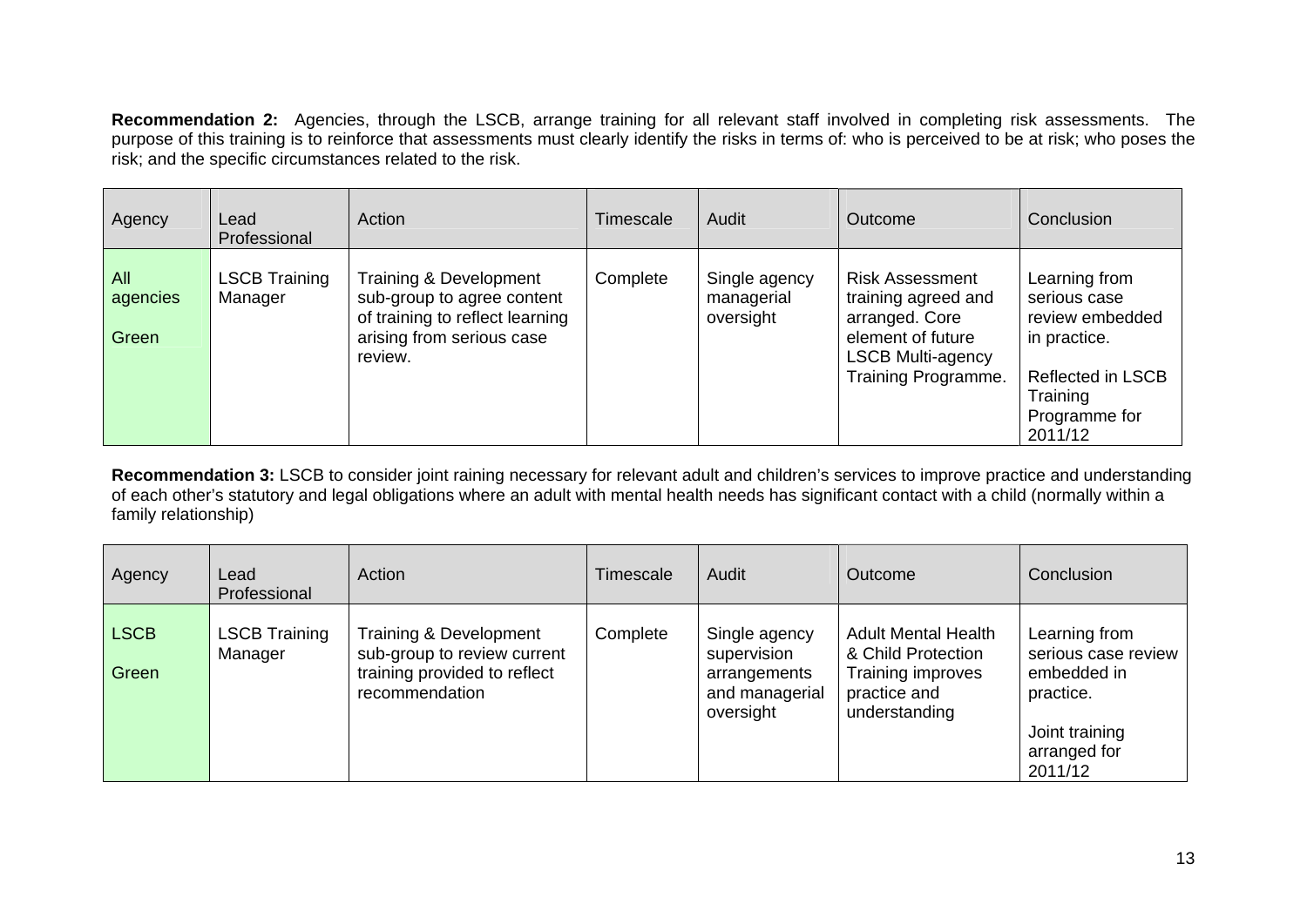**Recommendation 2:** Agencies, through the LSCB, arrange training for all relevant staff involved in completing risk assessments. The purpose of this training is to reinforce that assessments must clearly identify the risks in terms of: who is perceived to be at risk; who poses the risk; and the specific circumstances related to the risk.

| Agency                   | Lead<br>Professional     | Action                                                                                                                          | Timescale | Audit                                    | Outcome                                                                                                                                 | Conclusion                                                                                                                           |
|--------------------------|--------------------------|---------------------------------------------------------------------------------------------------------------------------------|-----------|------------------------------------------|-----------------------------------------------------------------------------------------------------------------------------------------|--------------------------------------------------------------------------------------------------------------------------------------|
| All<br>agencies<br>Green | LSCB Training<br>Manager | Training & Development<br>sub-group to agree content<br>of training to reflect learning<br>arising from serious case<br>review. | Complete  | Single agency<br>managerial<br>oversight | <b>Risk Assessment</b><br>training agreed and<br>arranged. Core<br>element of future<br><b>LSCB Multi-agency</b><br>Training Programme. | Learning from<br>serious case<br>review embedded<br>in practice.<br><b>Reflected in LSCB</b><br>Training<br>Programme for<br>2011/12 |

**Recommendation 3:** LSCB to consider joint raining necessary for relevant adult and children's services to improve practice and understanding of each other's statutory and legal obligations where an adult with mental health needs has significant contact with a child (normally within a family relationship)

| Agency               | Lead<br>Professional            | Action                                                                                                  | Timescale | Audit                                                                       | Outcome                                                                                                | Conclusion                                                                                                    |
|----------------------|---------------------------------|---------------------------------------------------------------------------------------------------------|-----------|-----------------------------------------------------------------------------|--------------------------------------------------------------------------------------------------------|---------------------------------------------------------------------------------------------------------------|
| <b>LSCB</b><br>Green | <b>LSCB Training</b><br>Manager | Training & Development<br>sub-group to review current<br>training provided to reflect<br>recommendation | Complete  | Single agency<br>supervision<br>arrangements<br>and managerial<br>oversight | <b>Adult Mental Health</b><br>& Child Protection<br>Training improves<br>practice and<br>understanding | Learning from<br>serious case review<br>embedded in<br>practice.<br>Joint training<br>arranged for<br>2011/12 |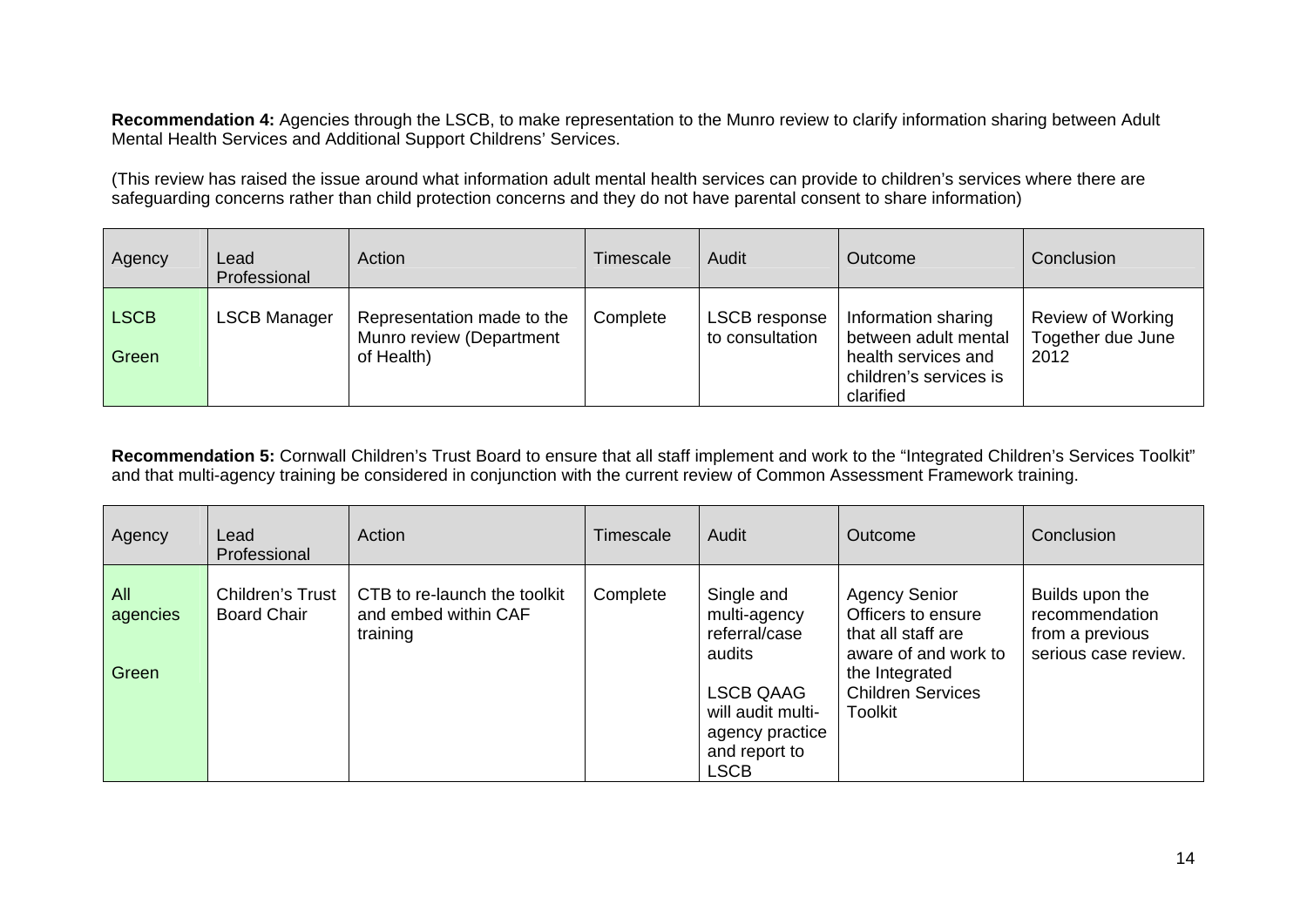**Recommendation 4:** Agencies through the LSCB, to make representation to the Munro review to clarify information sharing between Adult Mental Health Services and Additional Support Childrens' Services.

(This review has raised the issue around what information adult mental health services can provide to children's services where there are safeguarding concerns rather than child protection concerns and they do not have parental consent to share information)

| Agency               | Lead<br>Professional | Action                                                               | Timescale | Audit                            | Outcome                                                                                                   | Conclusion                                            |
|----------------------|----------------------|----------------------------------------------------------------------|-----------|----------------------------------|-----------------------------------------------------------------------------------------------------------|-------------------------------------------------------|
| <b>LSCB</b><br>Green | <b>LSCB Manager</b>  | Representation made to the<br>Munro review (Department<br>of Health) | Complete  | LSCB response<br>to consultation | Information sharing<br>between adult mental<br>health services and<br>children's services is<br>clarified | <b>Review of Working</b><br>Together due June<br>2012 |

Recommendation 5: Cornwall Children's Trust Board to ensure that all staff implement and work to the "Integrated Children's Services Toolkit" and that multi-agency training be considered in conjunction with the current review of Common Assessment Framework training.

| Agency                   | Lead<br>Professional                          | Action                                                           | Timescale | Audit                                                                                                                                      | <b>Outcome</b>                                                                                                                                           | Conclusion                                                                   |
|--------------------------|-----------------------------------------------|------------------------------------------------------------------|-----------|--------------------------------------------------------------------------------------------------------------------------------------------|----------------------------------------------------------------------------------------------------------------------------------------------------------|------------------------------------------------------------------------------|
| All<br>agencies<br>Green | <b>Children's Trust</b><br><b>Board Chair</b> | CTB to re-launch the toolkit<br>and embed within CAF<br>training | Complete  | Single and<br>multi-agency<br>referral/case<br>audits<br><b>LSCB QAAG</b><br>will audit multi-<br>agency practice<br>and report to<br>LSCB | <b>Agency Senior</b><br>Officers to ensure<br>that all staff are<br>aware of and work to<br>the Integrated<br><b>Children Services</b><br><b>Toolkit</b> | Builds upon the<br>recommendation<br>from a previous<br>serious case review. |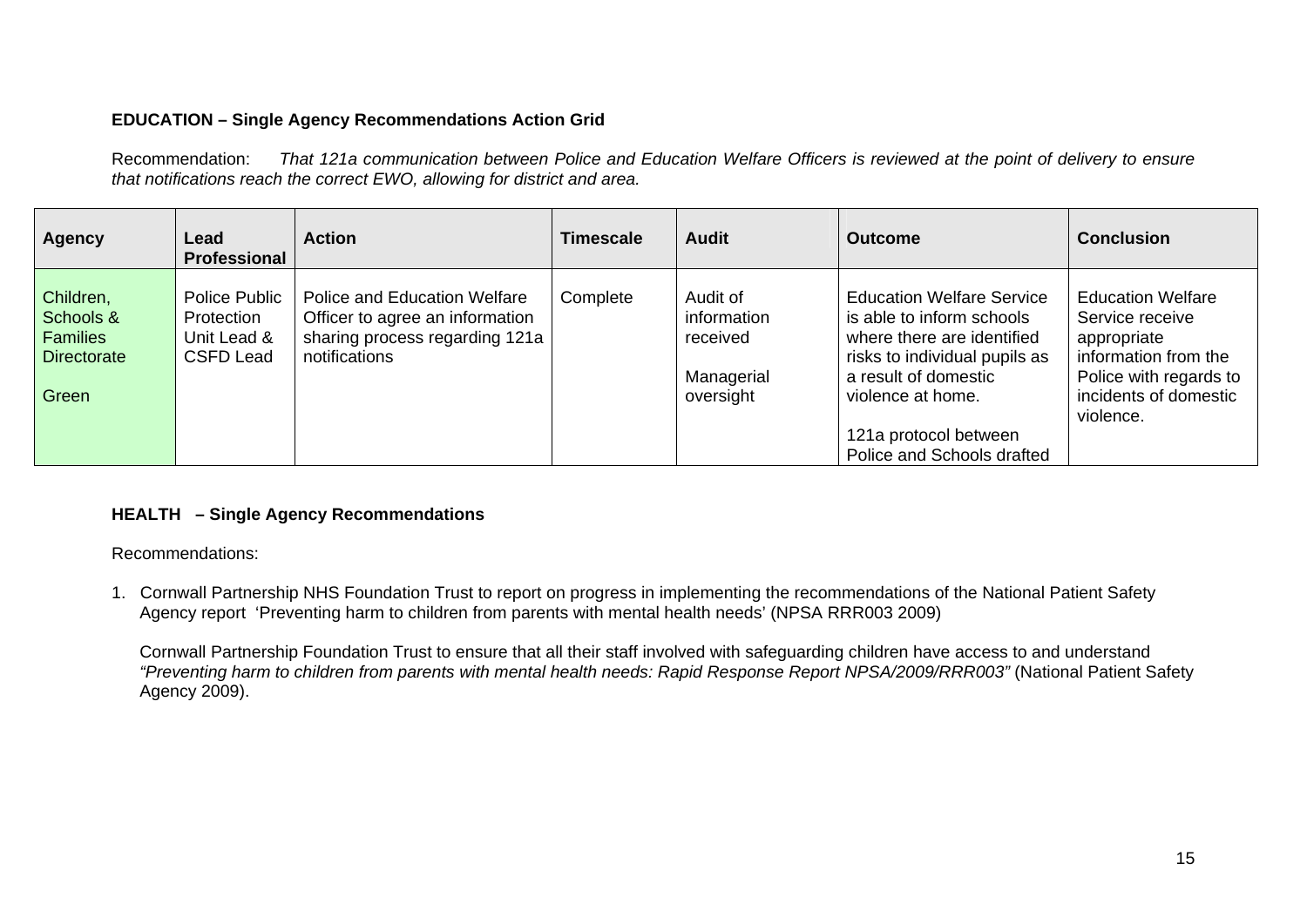## **EDUCATION – Single Agency Recommendations Action Grid**

Recommendation: *That 121a communication between Police and Education Welfare Officers is reviewed at the point of delivery to ensure that notifications reach the correct EWO, allowing for district and area.* 

| <b>Agency</b>                                                            | Lead<br>Professional                                           | <b>Action</b>                                                                                                             | Timescale | <b>Audit</b>                                                   | <b>Outcome</b>                                                                                                                                                            | <b>Conclusion</b>                                                                                                                                  |
|--------------------------------------------------------------------------|----------------------------------------------------------------|---------------------------------------------------------------------------------------------------------------------------|-----------|----------------------------------------------------------------|---------------------------------------------------------------------------------------------------------------------------------------------------------------------------|----------------------------------------------------------------------------------------------------------------------------------------------------|
| Children,<br>Schools &<br><b>Families</b><br><b>Directorate</b><br>Green | Police Public<br>Protection<br>Unit Lead &<br><b>CSFD Lead</b> | <b>Police and Education Welfare</b><br>Officer to agree an information<br>sharing process regarding 121a<br>notifications | Complete  | Audit of<br>information<br>received<br>Managerial<br>oversight | <b>Education Welfare Service</b><br>is able to inform schools<br>where there are identified<br>risks to individual pupils as<br>a result of domestic<br>violence at home. | <b>Education Welfare</b><br>Service receive<br>appropriate<br>information from the<br>Police with regards to<br>incidents of domestic<br>violence. |
|                                                                          |                                                                |                                                                                                                           |           |                                                                | 121a protocol between<br>Police and Schools drafted                                                                                                                       |                                                                                                                                                    |

## **HEALTH – Single Agency Recommendations**

Recommendations:

1. Cornwall Partnership NHS Foundation Trust to report on progress in implementing the recommendations of the National Patient Safety Agency report 'Preventing harm to children from parents with mental health needs' (NPSA RRR003 2009)

 Cornwall Partnership Foundation Trust to ensure that all their staff involved with safeguarding children have access to and understand *"Preventing harm to children from parents with mental health needs: Rapid Response Report NPSA/2009/RRR003"* (National Patient Safety Agency 2009).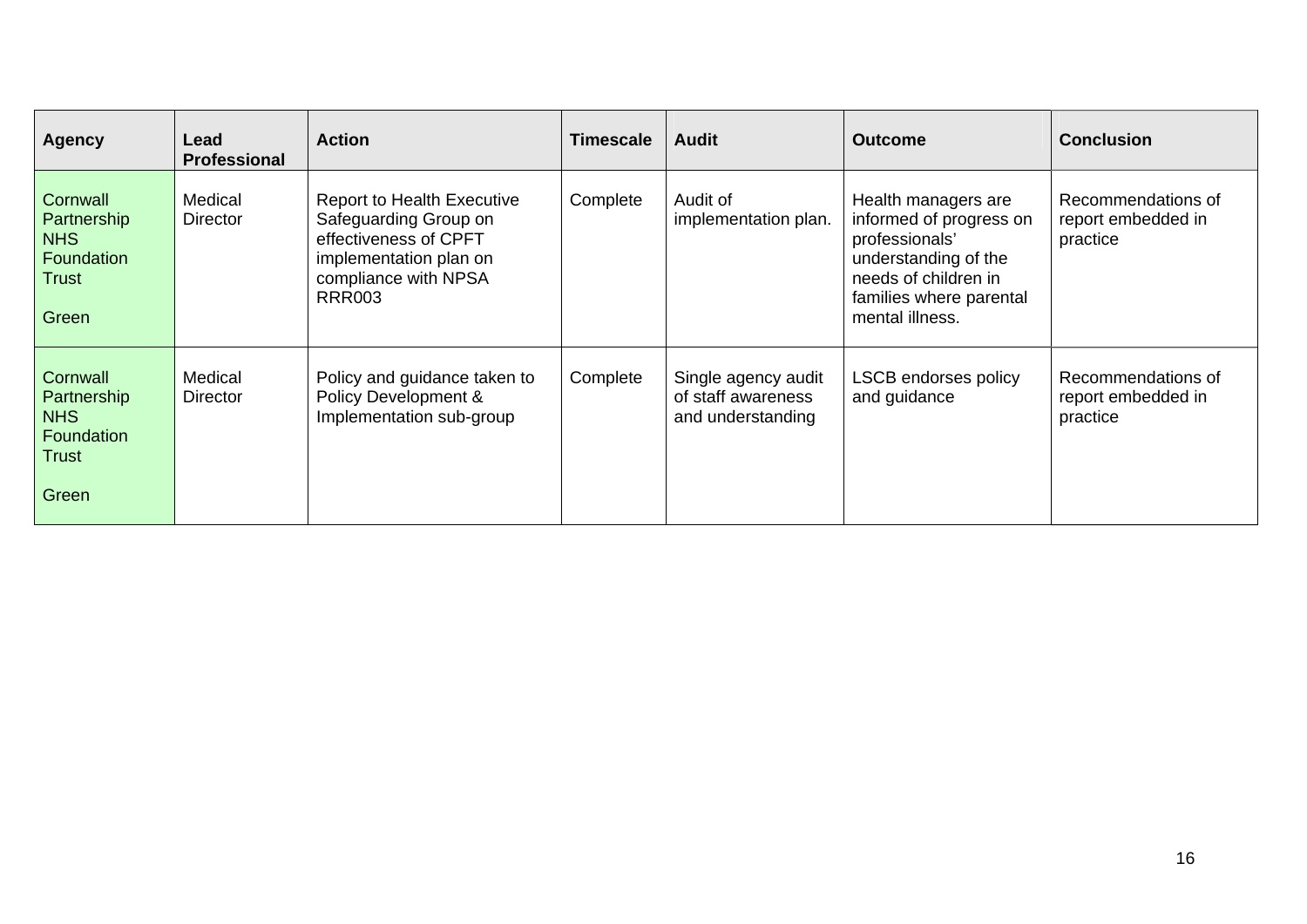| <b>Agency</b>                                                         | Lead<br><b>Professional</b> | <b>Action</b>                                                                                                                                          | Timescale | <b>Audit</b>                                                   | <b>Outcome</b>                                                                                                                                                 | <b>Conclusion</b>                                    |
|-----------------------------------------------------------------------|-----------------------------|--------------------------------------------------------------------------------------------------------------------------------------------------------|-----------|----------------------------------------------------------------|----------------------------------------------------------------------------------------------------------------------------------------------------------------|------------------------------------------------------|
| Cornwall<br>Partnership<br><b>NHS</b><br>Foundation<br>Trust<br>Green | Medical<br><b>Director</b>  | <b>Report to Health Executive</b><br>Safeguarding Group on<br>effectiveness of CPFT<br>implementation plan on<br>compliance with NPSA<br><b>RRR003</b> | Complete  | Audit of<br>implementation plan.                               | Health managers are<br>informed of progress on<br>professionals'<br>understanding of the<br>needs of children in<br>families where parental<br>mental illness. | Recommendations of<br>report embedded in<br>practice |
| Cornwall<br>Partnership<br><b>NHS</b><br>Foundation<br>Trust<br>Green | Medical<br>Director         | Policy and guidance taken to<br>Policy Development &<br>Implementation sub-group                                                                       | Complete  | Single agency audit<br>of staff awareness<br>and understanding | <b>LSCB endorses policy</b><br>and guidance                                                                                                                    | Recommendations of<br>report embedded in<br>practice |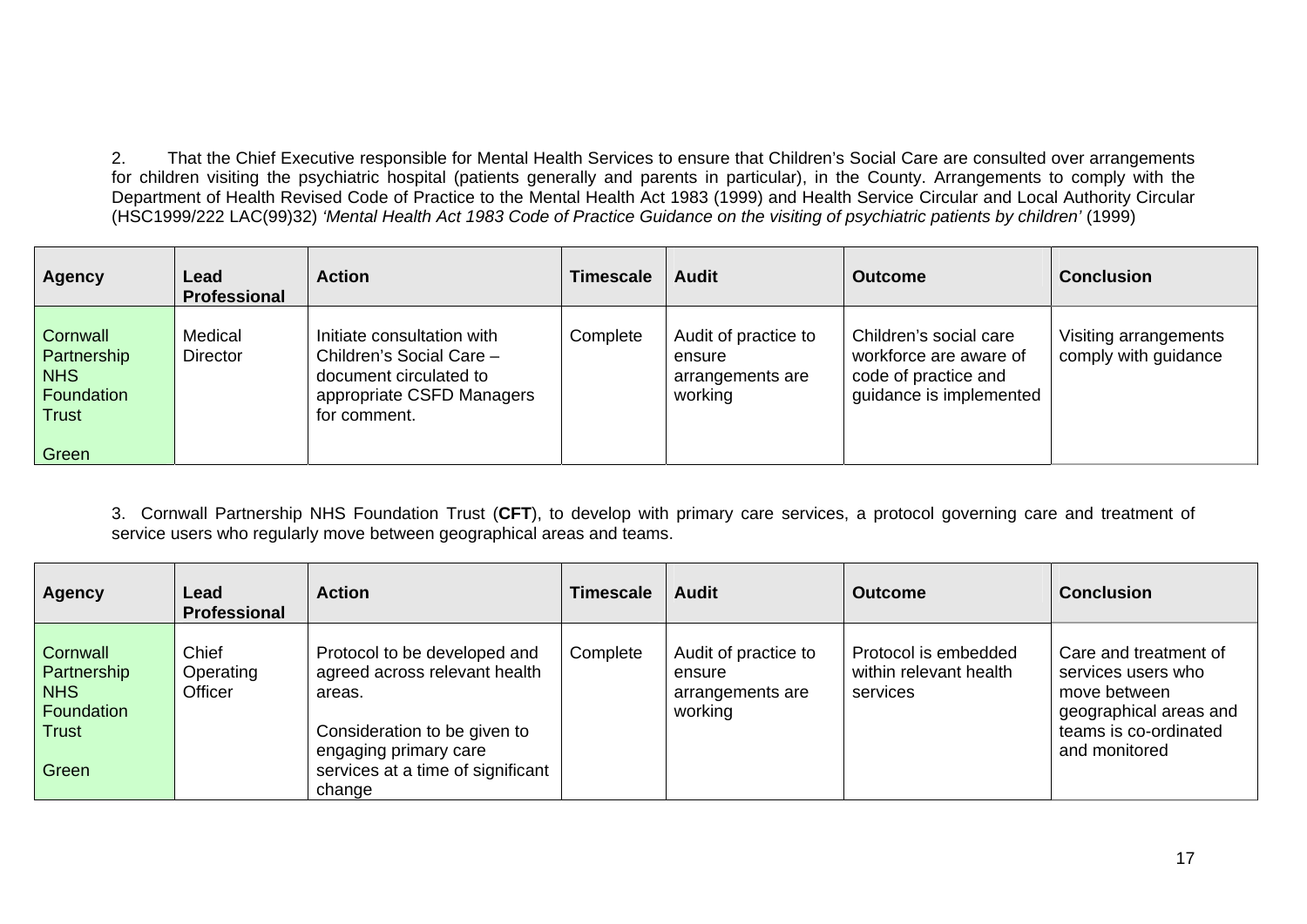2. That the Chief Executive responsible for Mental Health Services to ensure that Children's Social Care are consulted over arrangements for children visiting the psychiatric hospital (patients generally and parents in particular), in the County. Arrangements to comply with the Department of Health Revised Code of Practice to the Mental Health Act 1983 (1999) and Health Service Circular and Local Authority Circular (HSC1999/222 LAC(99)32) *'Mental Health Act 1983 Code of Practice Guidance on the visiting of psychiatric patients by children'* (1999)

| <b>Agency</b>                                                                | Lead<br><b>Professional</b> | <b>Action</b>                                                                                                                 | <b>Timescale</b> | <b>Audit</b>                                                  | <b>Outcome</b>                                                                                      | <b>Conclusion</b>                             |
|------------------------------------------------------------------------------|-----------------------------|-------------------------------------------------------------------------------------------------------------------------------|------------------|---------------------------------------------------------------|-----------------------------------------------------------------------------------------------------|-----------------------------------------------|
| Cornwall<br>Partnership<br><b>NHS</b><br>Foundation<br><b>Trust</b><br>Green | Medical<br><b>Director</b>  | Initiate consultation with<br>Children's Social Care -<br>document circulated to<br>appropriate CSFD Managers<br>for comment. | Complete         | Audit of practice to<br>ensure<br>arrangements are<br>working | Children's social care<br>workforce are aware of<br>code of practice and<br>guidance is implemented | Visiting arrangements<br>comply with guidance |

3. Cornwall Partnership NHS Foundation Trust (**CFT**), to develop with primary care services, a protocol governing care and treatment of service users who regularly move between geographical areas and teams.

| <b>Agency</b>                                                         | Lead<br>Professional          | <b>Action</b>                                                                                                                                                                   | <b>Timescale</b> | <b>Audit</b>                                                  | <b>Outcome</b>                                             | <b>Conclusion</b>                                                                                                               |
|-----------------------------------------------------------------------|-------------------------------|---------------------------------------------------------------------------------------------------------------------------------------------------------------------------------|------------------|---------------------------------------------------------------|------------------------------------------------------------|---------------------------------------------------------------------------------------------------------------------------------|
| Cornwall<br>Partnership<br><b>NHS</b><br>Foundation<br>Trust<br>Green | Chief<br>Operating<br>Officer | Protocol to be developed and<br>agreed across relevant health<br>areas.<br>Consideration to be given to<br>engaging primary care<br>services at a time of significant<br>change | Complete         | Audit of practice to<br>ensure<br>arrangements are<br>working | Protocol is embedded<br>within relevant health<br>services | Care and treatment of<br>services users who<br>move between<br>geographical areas and<br>teams is co-ordinated<br>and monitored |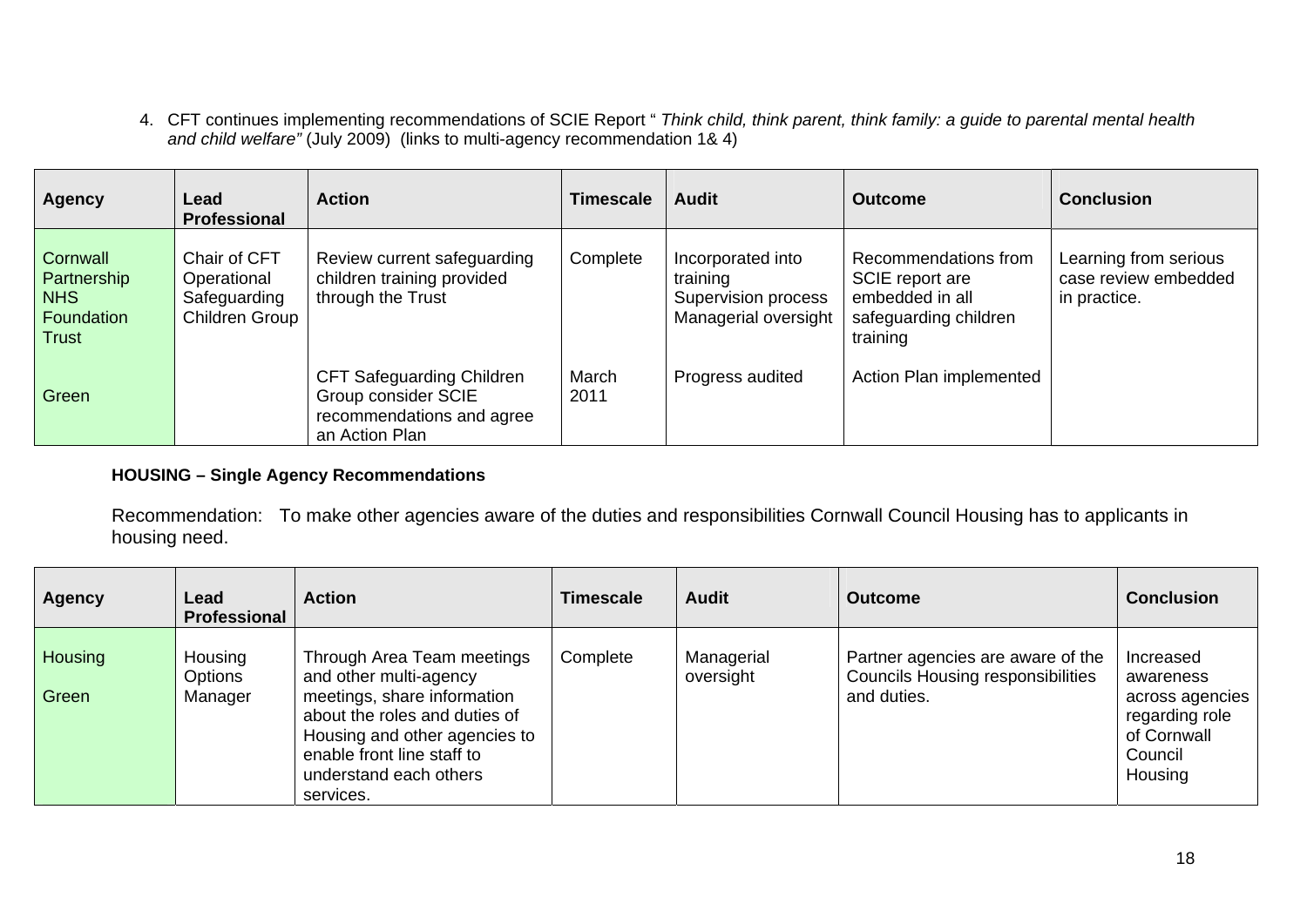4. CFT continues implementing recommendations of SCIE Report " *Think child, think parent, think family: a guide to parental mental health and child welfare"* (July 2009) (links to multi-agency recommendation 1& 4)

| <b>Agency</b>                                                | Lead<br><b>Professional</b>                                   | <b>Action</b>                                                                                          | <b>Timescale</b> | <b>Audit</b>                                                                 | <b>Outcome</b>                                                                                  | <b>Conclusion</b>                                             |
|--------------------------------------------------------------|---------------------------------------------------------------|--------------------------------------------------------------------------------------------------------|------------------|------------------------------------------------------------------------------|-------------------------------------------------------------------------------------------------|---------------------------------------------------------------|
| Cornwall<br>Partnership<br><b>NHS</b><br>Foundation<br>Trust | Chair of CFT<br>Operational<br>Safeguarding<br>Children Group | Review current safeguarding<br>children training provided<br>through the Trust                         | Complete         | Incorporated into<br>training<br>Supervision process<br>Managerial oversight | Recommendations from<br>SCIE report are<br>embedded in all<br>safeguarding children<br>training | Learning from serious<br>case review embedded<br>in practice. |
| Green                                                        |                                                               | <b>CFT Safeguarding Children</b><br>Group consider SCIE<br>recommendations and agree<br>an Action Plan | March<br>2011    | Progress audited                                                             | Action Plan implemented                                                                         |                                                               |

## **HOUSING – Single Agency Recommendations**

Recommendation: To make other agencies aware of the duties and responsibilities Cornwall Council Housing has to applicants in housing need.

| <b>Agency</b>    | Lead<br><b>Professional</b>   | <b>Action</b>                                                                                                                                                                                                              | Timescale | <b>Audit</b>            | <b>Outcome</b>                                                                               | <b>Conclusion</b>                                                                                |
|------------------|-------------------------------|----------------------------------------------------------------------------------------------------------------------------------------------------------------------------------------------------------------------------|-----------|-------------------------|----------------------------------------------------------------------------------------------|--------------------------------------------------------------------------------------------------|
| Housing<br>Green | Housing<br>Options<br>Manager | Through Area Team meetings<br>and other multi-agency<br>meetings, share information<br>about the roles and duties of<br>Housing and other agencies to<br>enable front line staff to<br>understand each others<br>services. | Complete  | Managerial<br>oversight | Partner agencies are aware of the<br><b>Councils Housing responsibilities</b><br>and duties. | Increased<br>awareness<br>across agencies<br>regarding role<br>of Cornwall<br>Council<br>Housing |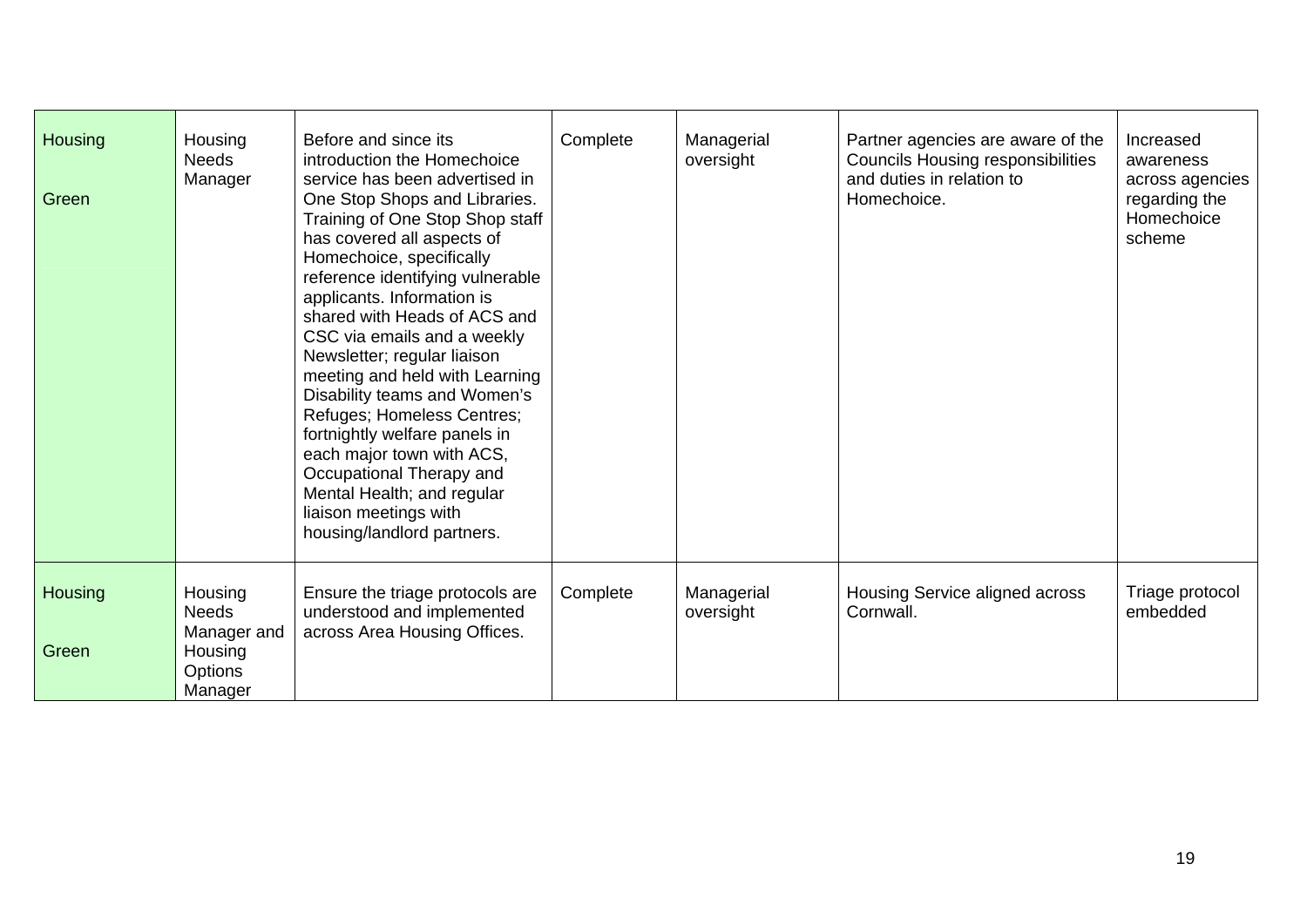| <b>Housing</b><br>Green | Housing<br><b>Needs</b><br>Manager     | Before and since its<br>introduction the Homechoice<br>service has been advertised in<br>One Stop Shops and Libraries.<br>Training of One Stop Shop staff<br>has covered all aspects of<br>Homechoice, specifically<br>reference identifying vulnerable<br>applicants. Information is<br>shared with Heads of ACS and<br>CSC via emails and a weekly<br>Newsletter; regular liaison<br>meeting and held with Learning<br>Disability teams and Women's<br>Refuges; Homeless Centres;<br>fortnightly welfare panels in<br>each major town with ACS,<br>Occupational Therapy and<br>Mental Health; and regular<br>liaison meetings with<br>housing/landlord partners. | Complete | Managerial<br>oversight | Partner agencies are aware of the<br><b>Councils Housing responsibilities</b><br>and duties in relation to<br>Homechoice. | Increased<br>awareness<br>across agencies<br>regarding the<br>Homechoice<br>scheme |
|-------------------------|----------------------------------------|--------------------------------------------------------------------------------------------------------------------------------------------------------------------------------------------------------------------------------------------------------------------------------------------------------------------------------------------------------------------------------------------------------------------------------------------------------------------------------------------------------------------------------------------------------------------------------------------------------------------------------------------------------------------|----------|-------------------------|---------------------------------------------------------------------------------------------------------------------------|------------------------------------------------------------------------------------|
| <b>Housing</b>          | Housing<br><b>Needs</b><br>Manager and | Ensure the triage protocols are<br>understood and implemented<br>across Area Housing Offices.                                                                                                                                                                                                                                                                                                                                                                                                                                                                                                                                                                      | Complete | Managerial<br>oversight | Housing Service aligned across<br>Cornwall.                                                                               | Triage protocol<br>embedded                                                        |
| Green                   | Housing<br>Options<br>Manager          |                                                                                                                                                                                                                                                                                                                                                                                                                                                                                                                                                                                                                                                                    |          |                         |                                                                                                                           |                                                                                    |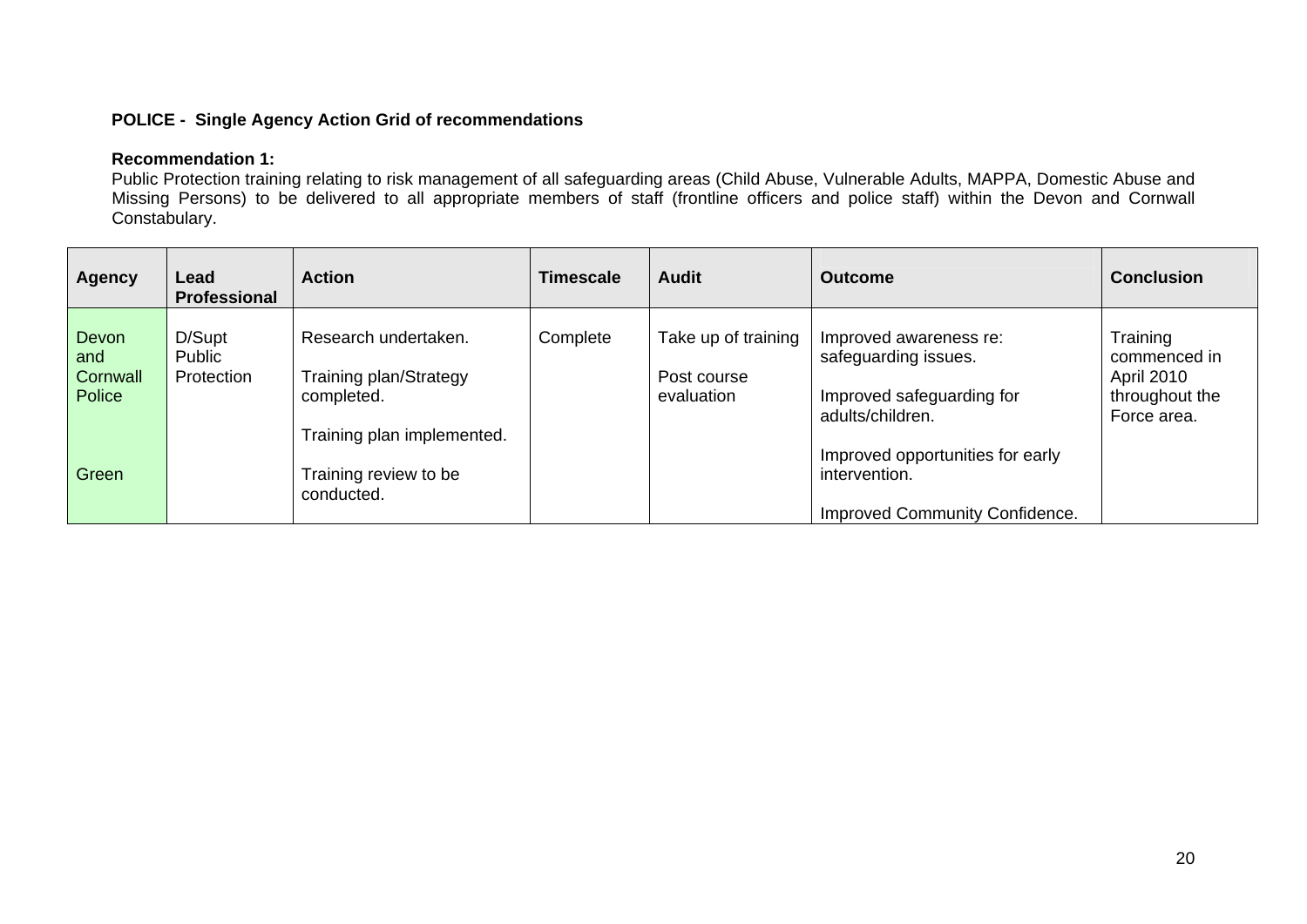## **POLICE - Single Agency Action Grid of recommendations**

#### **Recommendation 1:**

Public Protection training relating to risk management of all safeguarding areas (Child Abuse, Vulnerable Adults, MAPPA, Domestic Abuse and Missing Persons) to be delivered to all appropriate members of staff (frontline officers and police staff) within the Devon and Cornwall Constabulary.

| <b>Agency</b>                      | Lead<br><b>Professional</b>    | <b>Action</b>                                                                              | <b>Timescale</b> | <b>Audit</b>                                     | <b>Outcome</b>                                                                                  | <b>Conclusion</b>                                                              |
|------------------------------------|--------------------------------|--------------------------------------------------------------------------------------------|------------------|--------------------------------------------------|-------------------------------------------------------------------------------------------------|--------------------------------------------------------------------------------|
| Devon<br>and<br>Cornwall<br>Police | D/Supt<br>Public<br>Protection | Research undertaken.<br>Training plan/Strategy<br>completed.<br>Training plan implemented. | Complete         | Take up of training<br>Post course<br>evaluation | Improved awareness re:<br>safeguarding issues.<br>Improved safeguarding for<br>adults/children. | Training<br>commenced in<br><b>April 2010</b><br>throughout the<br>Force area. |
| Green                              |                                | Training review to be<br>conducted.                                                        |                  |                                                  | Improved opportunities for early<br>intervention.<br>Improved Community Confidence.             |                                                                                |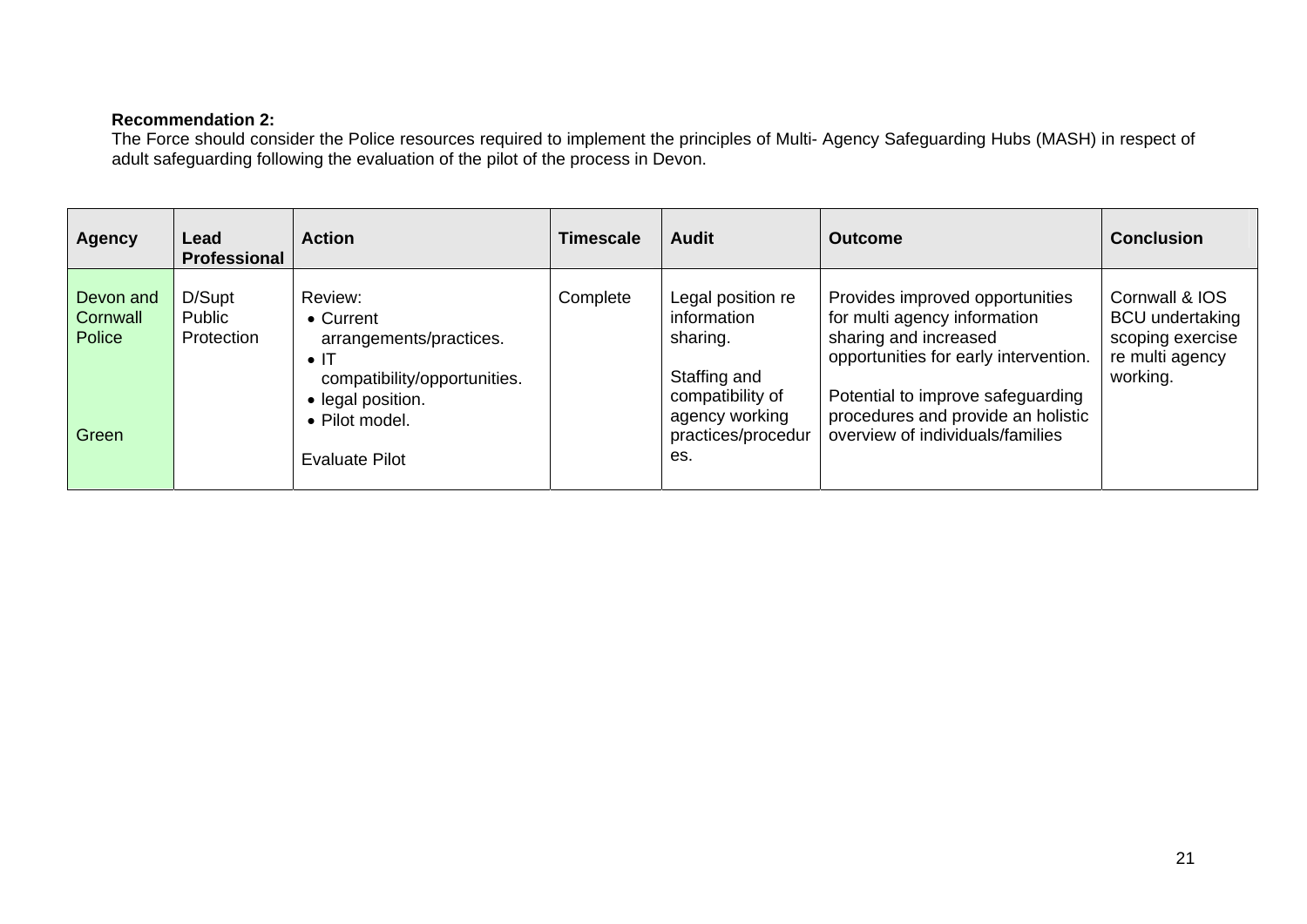## **Recommendation 2:**

 The Force should consider the Police resources required to implement the principles of Multi- Agency Safeguarding Hubs (MASH) in respect of adult safeguarding following the evaluation of the pilot of the process in Devon.

| <b>Agency</b>                            | Lead<br><b>Professional</b>    | <b>Action</b>                                                                                                                                                           | Timescale | <b>Audit</b>                                                                                                                    | <b>Outcome</b>                                                                                                                                                                                                                                   | <b>Conclusion</b>                                                                           |
|------------------------------------------|--------------------------------|-------------------------------------------------------------------------------------------------------------------------------------------------------------------------|-----------|---------------------------------------------------------------------------------------------------------------------------------|--------------------------------------------------------------------------------------------------------------------------------------------------------------------------------------------------------------------------------------------------|---------------------------------------------------------------------------------------------|
| Devon and<br>Cornwall<br>Police<br>Green | D/Supt<br>Public<br>Protection | Review:<br>$\bullet$ Current<br>arrangements/practices.<br>$\bullet$ IT<br>compatibility/opportunities.<br>• legal position.<br>• Pilot model.<br><b>Evaluate Pilot</b> | Complete  | Legal position re<br>information<br>sharing.<br>Staffing and<br>compatibility of<br>agency working<br>practices/procedur<br>es. | Provides improved opportunities<br>for multi agency information<br>sharing and increased<br>opportunities for early intervention.<br>Potential to improve safeguarding<br>procedures and provide an holistic<br>overview of individuals/families | Cornwall & IOS<br><b>BCU</b> undertaking<br>scoping exercise<br>re multi agency<br>working. |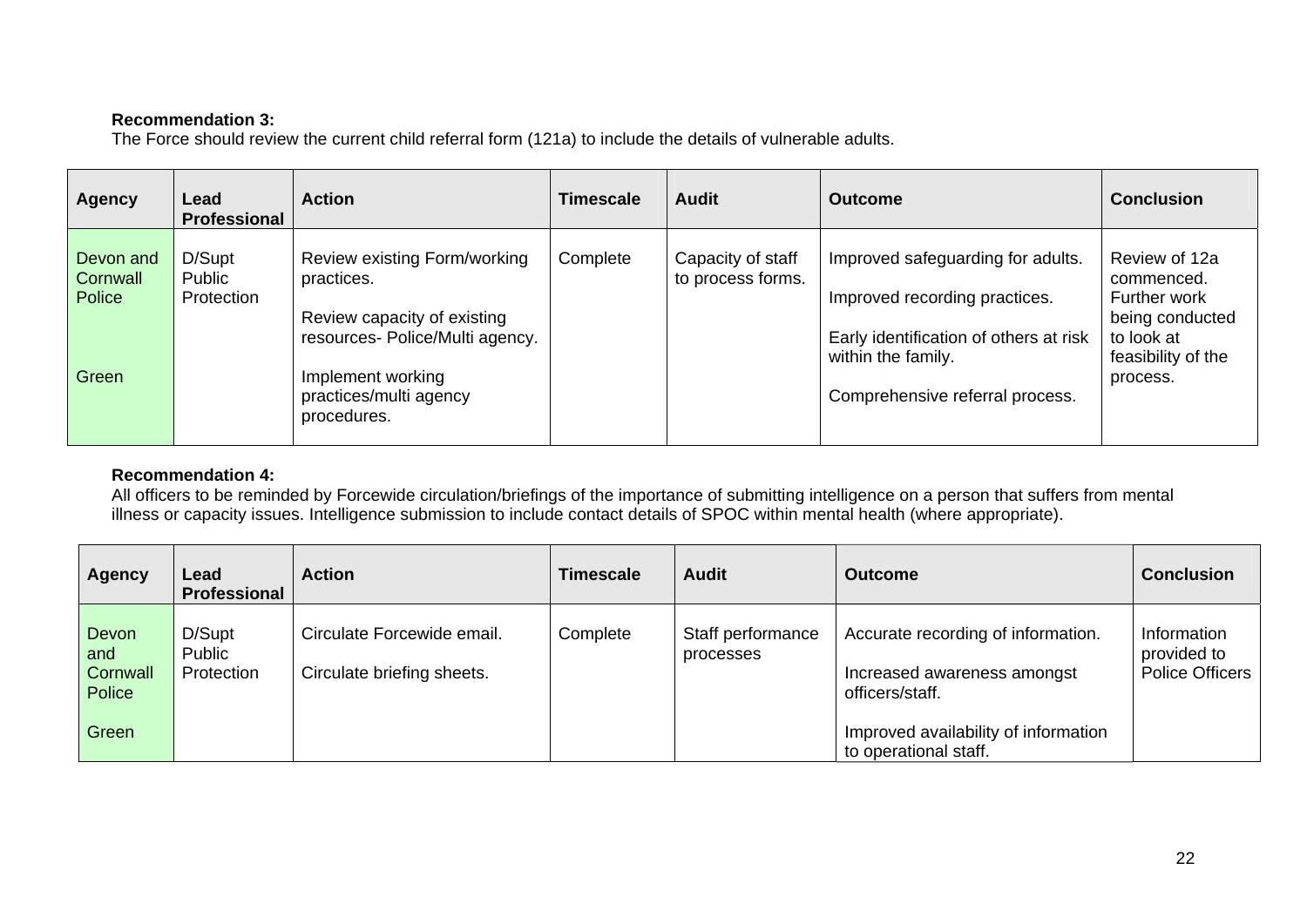## **Recommendation 3:**

The Force should review the current child referral form (121a) to include the details of vulnerable adults.

| <b>Agency</b>                            | Lead<br>Professional           | <b>Action</b>                                                                                                                                                              | Timescale | <b>Audit</b>                           | <b>Outcome</b>                                                                                                                                                        | <b>Conclusion</b>                                                                                              |
|------------------------------------------|--------------------------------|----------------------------------------------------------------------------------------------------------------------------------------------------------------------------|-----------|----------------------------------------|-----------------------------------------------------------------------------------------------------------------------------------------------------------------------|----------------------------------------------------------------------------------------------------------------|
| Devon and<br>Cornwall<br>Police<br>Green | D/Supt<br>Public<br>Protection | Review existing Form/working<br>practices.<br>Review capacity of existing<br>resources- Police/Multi agency.<br>Implement working<br>practices/multi agency<br>procedures. | Complete  | Capacity of staff<br>to process forms. | Improved safeguarding for adults.<br>Improved recording practices.<br>Early identification of others at risk<br>within the family.<br>Comprehensive referral process. | Review of 12a<br>commenced.<br>Further work<br>being conducted<br>to look at<br>feasibility of the<br>process. |

## **Recommendation 4:**

 All officers to be reminded by Forcewide circulation/briefings of the importance of submitting intelligence on a person that suffers from mental illness or capacity issues. Intelligence submission to include contact details of SPOC within mental health (where appropriate).

| <b>Agency</b>                      | Lead<br><b>Professional</b>    | <b>Action</b>                                            | Timescale | <b>Audit</b>                   | <b>Outcome</b>                                                                       | <b>Conclusion</b>                                    |
|------------------------------------|--------------------------------|----------------------------------------------------------|-----------|--------------------------------|--------------------------------------------------------------------------------------|------------------------------------------------------|
| Devon<br>and<br>Cornwall<br>Police | D/Supt<br>Public<br>Protection | Circulate Forcewide email.<br>Circulate briefing sheets. | Complete  | Staff performance<br>processes | Accurate recording of information.<br>Increased awareness amongst<br>officers/staff. | Information<br>provided to<br><b>Police Officers</b> |
| Green                              |                                |                                                          |           |                                | Improved availability of information<br>to operational staff.                        |                                                      |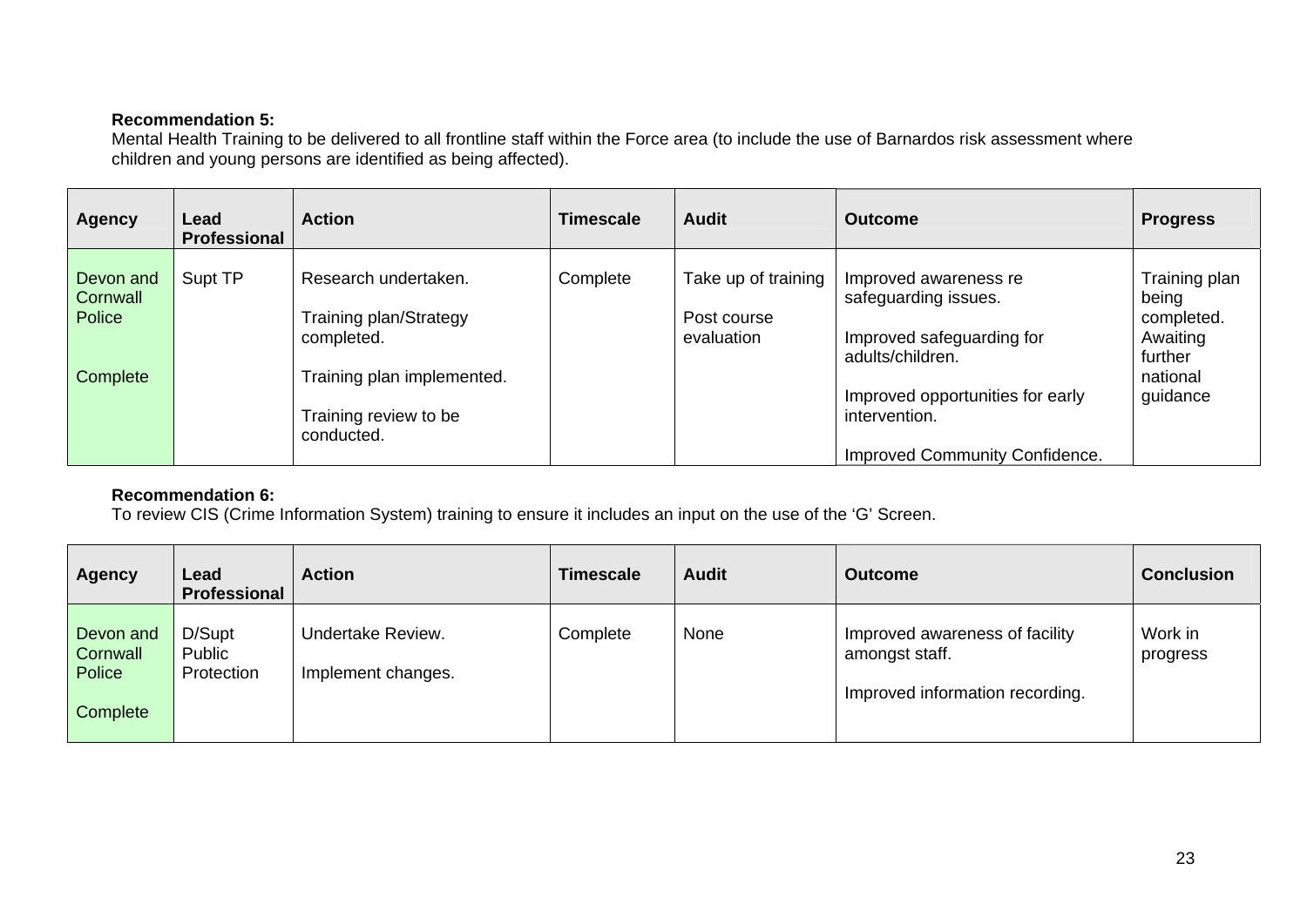## **Recommendation 5:**

Mental Health Training to be delivered to all frontline staff within the Force area (to include the use of Barnardos risk assessment where children and young persons are identified as being affected).

| <b>Agency</b>                               | Lead<br><b>Professional</b> | <b>Action</b>                                                                                     | <b>Timescale</b> | <b>Audit</b>                                     | <b>Outcome</b>                                                                                                                     | <b>Progress</b>                                                                     |
|---------------------------------------------|-----------------------------|---------------------------------------------------------------------------------------------------|------------------|--------------------------------------------------|------------------------------------------------------------------------------------------------------------------------------------|-------------------------------------------------------------------------------------|
| Devon and<br>Cornwall<br>Police<br>Complete | Supt TP                     | Research undertaken.<br><b>Training plan/Strategy</b><br>completed.<br>Training plan implemented. | Complete         | Take up of training<br>Post course<br>evaluation | Improved awareness re<br>safeguarding issues.<br>Improved safeguarding for<br>adults/children.<br>Improved opportunities for early | Training plan<br>being<br>completed.<br>Awaiting<br>further<br>national<br>guidance |
|                                             |                             | Training review to be<br>conducted.                                                               |                  |                                                  | intervention.<br><b>Improved Community Confidence.</b>                                                                             |                                                                                     |

## **Recommendation 6:**

To review CIS (Crime Information System) training to ensure it includes an input on the use of the 'G' Screen.

| <b>Agency</b>                               | Lead<br><b>Professional</b>    | <b>Action</b>                           | <b>Timescale</b> | <b>Audit</b> | <b>Outcome</b>                                                                      | <b>Conclusion</b>   |
|---------------------------------------------|--------------------------------|-----------------------------------------|------------------|--------------|-------------------------------------------------------------------------------------|---------------------|
| Devon and<br>Cornwall<br>Police<br>Complete | D/Supt<br>Public<br>Protection | Undertake Review.<br>Implement changes. | Complete         | None         | Improved awareness of facility<br>amongst staff.<br>Improved information recording. | Work in<br>progress |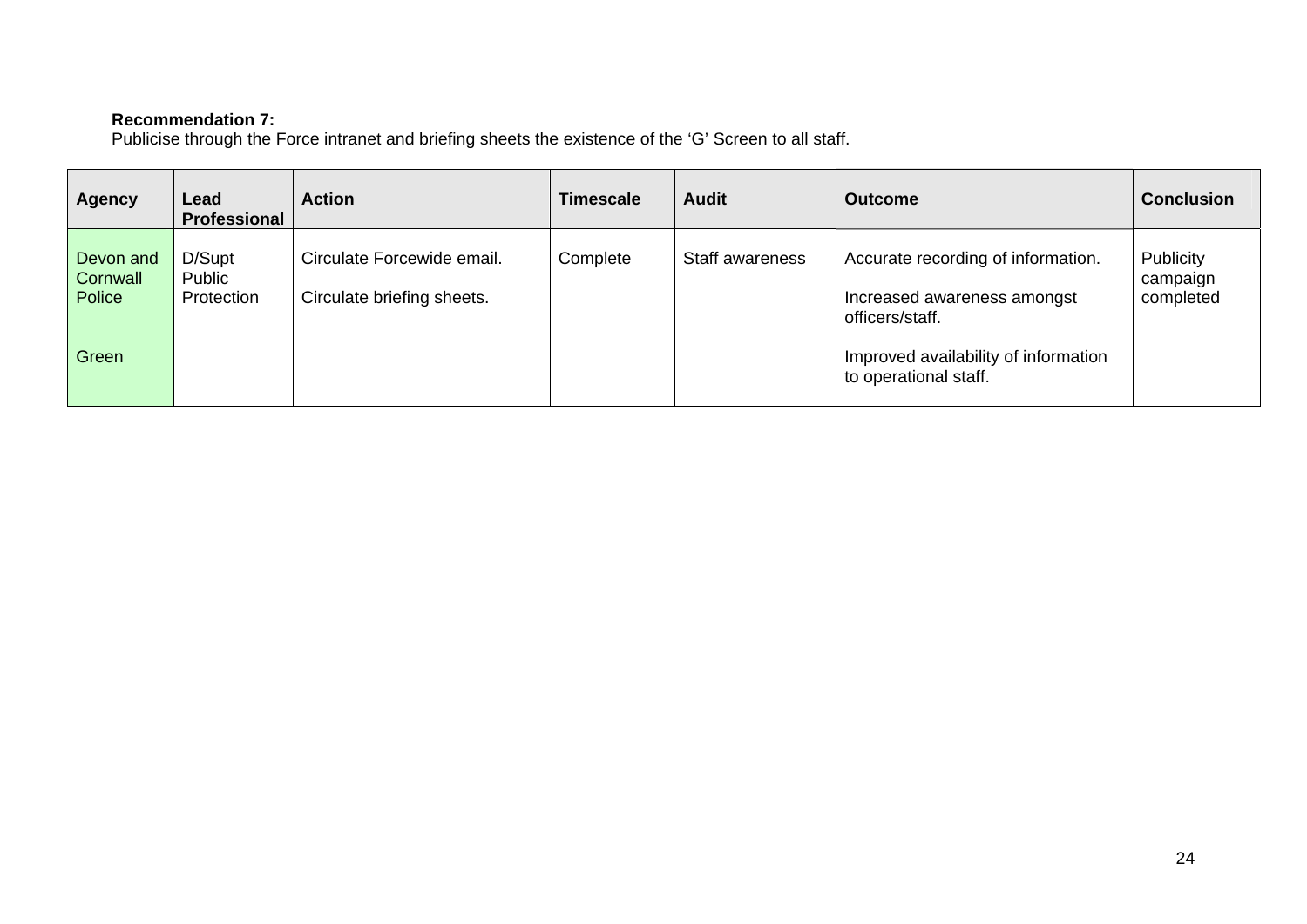#### **Recommendation 7:**

Publicise through the Force intranet and briefing sheets the existence of the 'G' Screen to all staff.

| <b>Agency</b>                          | Lead<br>Professional           | <b>Action</b>                                            | Timescale | <b>Audit</b>    | <b>Outcome</b>                                                                       | <b>Conclusion</b>                  |
|----------------------------------------|--------------------------------|----------------------------------------------------------|-----------|-----------------|--------------------------------------------------------------------------------------|------------------------------------|
| Devon and<br><b>Cornwall</b><br>Police | D/Supt<br>Public<br>Protection | Circulate Forcewide email.<br>Circulate briefing sheets. | Complete  | Staff awareness | Accurate recording of information.<br>Increased awareness amongst<br>officers/staff. | Publicity<br>campaign<br>completed |
| Green                                  |                                |                                                          |           |                 | Improved availability of information<br>to operational staff.                        |                                    |